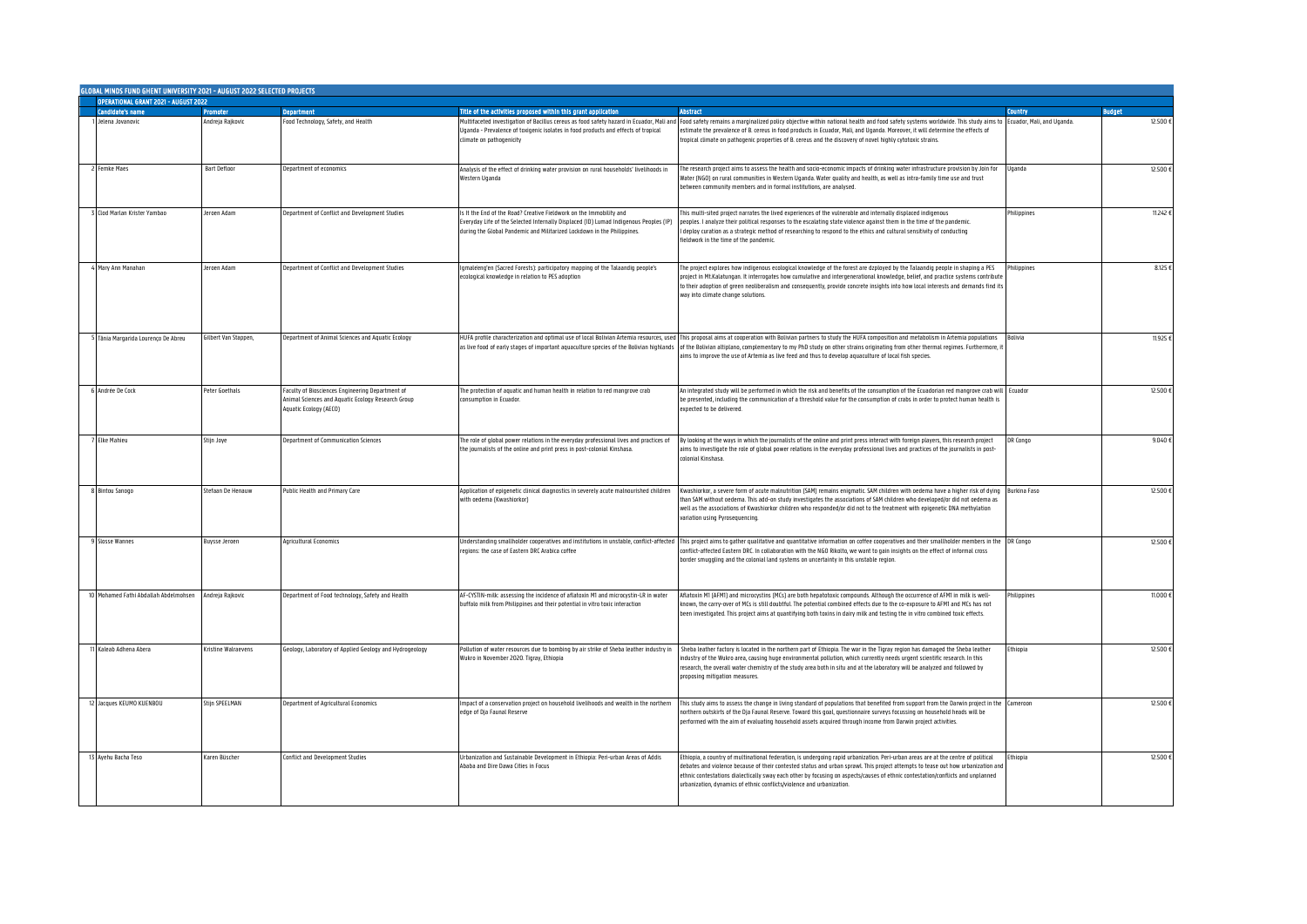| GLOBAL MINDS FUND GHENT UNIVERSITY 2021 - AUGUST 2022 SELECTED PROJECTS |                      |                                                                                                                                  |                                                                                                                                                                                                                                         |                                                                                                                                                                                                                                                                                                                                                                                                                                                                                   |                 |               |  |  |  |
|-------------------------------------------------------------------------|----------------------|----------------------------------------------------------------------------------------------------------------------------------|-----------------------------------------------------------------------------------------------------------------------------------------------------------------------------------------------------------------------------------------|-----------------------------------------------------------------------------------------------------------------------------------------------------------------------------------------------------------------------------------------------------------------------------------------------------------------------------------------------------------------------------------------------------------------------------------------------------------------------------------|-----------------|---------------|--|--|--|
| <b>OPERATIONAL GRANT 2021 - AUGUST 2022</b>                             |                      |                                                                                                                                  |                                                                                                                                                                                                                                         |                                                                                                                                                                                                                                                                                                                                                                                                                                                                                   |                 |               |  |  |  |
| <b>Candidate's name</b>                                                 | nmnter               | <b>Department</b>                                                                                                                | Title of the activities proposed within this grant application                                                                                                                                                                          | <b>Abstract</b>                                                                                                                                                                                                                                                                                                                                                                                                                                                                   | Country         | <b>Budget</b> |  |  |  |
| Jelena Jovanovic                                                        | Andreia Raikovic     | Food Technology, Safety, and Health                                                                                              | Multifaceted investigation of Bacillus cereus as food safety hazard in Ecuador. Mali and<br>Uganda - Prevalence of toxigenic isolates in food products and effects of tropical<br>climate on pathogenicity                              | Food safety remains a marginalized policy objective within national health and food safety systems worldwide. This study aims to Ecuador, Mali, and Uganda.<br>estimate the prevalence of B. cereus in food products in Ecuador, Mali, and Uganda. Moreover, it will determine the effects of<br>tropical climate on pathogenic properties of B. cereus and the discovery of novel highly cytotoxic strains.                                                                      |                 | 12.500 €      |  |  |  |
| <b>Femke Maes</b>                                                       | <b>Bart Defloor</b>  | Department of economics                                                                                                          | Analysis of the effect of drinking water provision on rural households' livelihoods in<br>Western Uganda                                                                                                                                | The research project aims to assess the health and socio-economic impacts of drinking water infrastructure provision by Join for<br>Water (NGO) on rural communities in Western Uganda. Water quality and health, as well as intra-family time use and trust<br>between community members and in formal institutions, are analysed.                                                                                                                                               | Jqanda          | 12.500        |  |  |  |
| 3 Clod Marlan Krister Yambao                                            | leroen Adam          | Department of Conflict and Development Studies                                                                                   | Is It the End of the Road? Creative Fieldwork on the Immobility and<br>Everyday Life of the Selected Internally Displaced (ID) Lumad Indigenous Peoples (IP)<br>during the Global Pandemic and Militarized Lockdown in the Philippines. | This multi-sited project narrates the lived experiences of the vulnerable and internally displaced indigenous<br>peoples. I analyze their political responses to the escalating state violence against them in the time of the pandemic.<br>deploy curation as a strategic method of researching to respond to the ethics and cultural sensitivity of conducting<br>fieldwork in the time of the pandemic.                                                                        | Philippines     | 11,242 6      |  |  |  |
| 4 Mary Ann Manahan                                                      | leroen Adam          | Department of Conflict and Development Studies                                                                                   | Igmaleeng'en (Sacred Forests): participatory mapping of the Talaandig people's<br>ecological knowledge in relation to PES adoption                                                                                                      | The project explores how indigenous ecological knowledge of the forest are dzployed by the Talaandig people in shaping a PES<br>rroject in Mt.Kalatungan. It interrogates how cumulative and intergenerational knowledge, belief, and practice systems contribute<br>to their adoption of green neoliberalism and consequently, provide concrete insights into how local interests and demands find it:<br>way into climate change solutions.                                     | Philippines     | 8.125         |  |  |  |
| Tânia Margarida Lourenço De Abreu                                       | Gilbert Van Stannen  | Department of Animal Sciences and Aquatic Ecology                                                                                | as live food of early stages of important aquaculture species of the Bolivian highlands                                                                                                                                                 | HUFA profile characterization and optimal use of local Bolivian Artemia resources, used This proposal aims at cooperation with Bolivian partners to study the HUFA composition and metabolism in Artemia populations<br>of the Bolivian altiplano, complementary to my PhD study on other strains originating from other thermal regimes. Furthermore, i<br>aims to improve the use of Artemia as live feed and thus to develop aquaculture of local fish species.                | <b>Bolivia</b>  | 11.925        |  |  |  |
| 6 Andrée De Cock                                                        | Peter Goethals       | Faculty of Biosciences Engineering Department of<br>Animal Sciences and Aquatic Ecology Research Group<br>Aquatic Ecology (AECO) | The protection of aquatic and human health in relation to red mangrove crab<br>consumption in Equador                                                                                                                                   | An integrated study will be performed in which the risk and benefits of the consumption of the Ecuadorian red mangrove crab will<br>be presented, including the communication of a threshold value for the consumption of crabs in order to protect human health is<br>expected to be delivered.                                                                                                                                                                                  | Ecuador         | 12.500        |  |  |  |
| <b>Elke Mahieu</b>                                                      | Stiin Jove           | <b>Department of Communication Sciences</b>                                                                                      | The role of global power relations in the everyday professional lives and practices of<br>the journalists of the online and print press in post-colonial Kinshasa.                                                                      | By looking at the ways in which the journalists of the online and print press interact with foreign players, this research project<br>aims to investigate the role of global power relations in the everyday professional lives and practices of the journalists in post-<br>colonial Kinshasa                                                                                                                                                                                    | <b>JR Congo</b> | 9.040         |  |  |  |
| Bintou Sanogo                                                           | itefaan De Henauw    | Public Health and Primary Care                                                                                                   | Application of epigenetic clinical diagnostics in severely acute malnourished children<br>with oedema (Kwashiorkor)                                                                                                                     | Kwashiorkor, a severe form of acute malnutrition (SAM) remains enigmatic. SAM children with oedema have a higher risk of dying<br>than SAM without oedema. This add-on study investigates the associations of SAM children who developed/or did not oedema as<br>well as the associations of Kwashiorkor children who responded/or did not to the treatment with epigenetic DNA methylation<br>variation using Pyrosequencing.                                                    | Burkina Faso    | 12.500 €      |  |  |  |
| 9 Slosse Wannes                                                         | <b>Buysse Jeroen</b> | <b>Agricultural Economics</b>                                                                                                    | regions: the case of Eastern DRC Arabica coffee                                                                                                                                                                                         | Understanding smallholder cooperatives and institutions in unstable, conflict-affected This project aims to gather qualitative and quantitative information on coffee cooperatives and their smallholder members in the<br>onflict-affected Eastern DRC. In collaboration with the NGO Rikolto, we want to gain insights on the effect of informal cross<br>border smuggling and the colonial land systems on uncertainty in this unstable region.                                | DR Congo        | 12.500        |  |  |  |
| 10 Mohamed Fathi Abdallah Abdelmohsen                                   | Andreja Rajkovic     | Department of Food technology, Safety and Health                                                                                 | AF-CYSTIN-milk: assessing the incidence of aflatoxin M1 and microcystin-LR in water<br>buffalo milk from Philippines and their potential in vitro toxic interaction                                                                     | Aflatoxin M1 (AFM1) and microcystins (MCs) are both hepatotoxic compounds. Although the occurrence of AFM1 in milk is well-<br>cnown, the carry-over of MCs is still doubtful. The potential combined effects due to the co-exposure to AFM1 and MCs has not<br>been investigated. This project aims at quantifying both toxins in dairy milk and testing the in vitro combined toxic effects.                                                                                    | Philippines     | 11.0006       |  |  |  |
| 1 Kaleab Adhena Abera                                                   | Kristine Walraevens  | Geology, Laboratory of Applied Geology and Hydrogeology                                                                          | Pollution of water resources due to bombing by air strike of Sheba leather industry in<br>Wukro in November 2020. Tigray, Ethiopia                                                                                                      | Sheba leather factory is located in the northern part of Ethiopia. The war in the Tigray region has damaged the Sheba leather<br>ndustry of the Wukro area, causing huge environmental pollution, which currently needs urgent scientific research. In this<br>research, the overall water chemistry of the study area both in situ and at the laboratory will be analyzed and followed by<br>proposing mitigation measures.                                                      | Ethiopia        | 12.500        |  |  |  |
| 12 Jacques KEUMO KUENBOU                                                | Stijn SPEELMAN       | Department of Agricultural Economics                                                                                             | Impact of a conservation project on household livelihoods and wealth in the northern<br>edge of Dja Faunal Reserve                                                                                                                      | This study aims to assess the change in living standard of populations that benefited from support from the Darwin project in the Cameroon<br>orthern outskirts of the Dja Faunal Reserve. Toward this goal, questionnaire surveys focussing on household heads will be<br>performed with the aim of evaluating household assets acquired through income from Darwin project activities.                                                                                          |                 | 12.500 €      |  |  |  |
| 13 Ayehu Bacha Teso                                                     | Karen Büscher        | Conflict and Development Studies                                                                                                 | Urbanization and Sustainable Development in Ethiopia: Peri-urban Areas of Addis<br>Ahaha and Dire Dawa Cities in Focus                                                                                                                  | Ethiopia, a country of multinational federation, is undergoing rapid urbanization. Peri-urban areas are at the centre of political<br>debates and violence because of their contested status and urban sprawl. This project attempts to tease out how urbanization an<br>ethnic contestations dialectically sway each other by focusing on aspects/causes of ethnic contestation/conflicts and unplanned<br>urbanization, dynamics of ethnic conflicts/violence and urbanization. | Ethiopia        | 12.500 €      |  |  |  |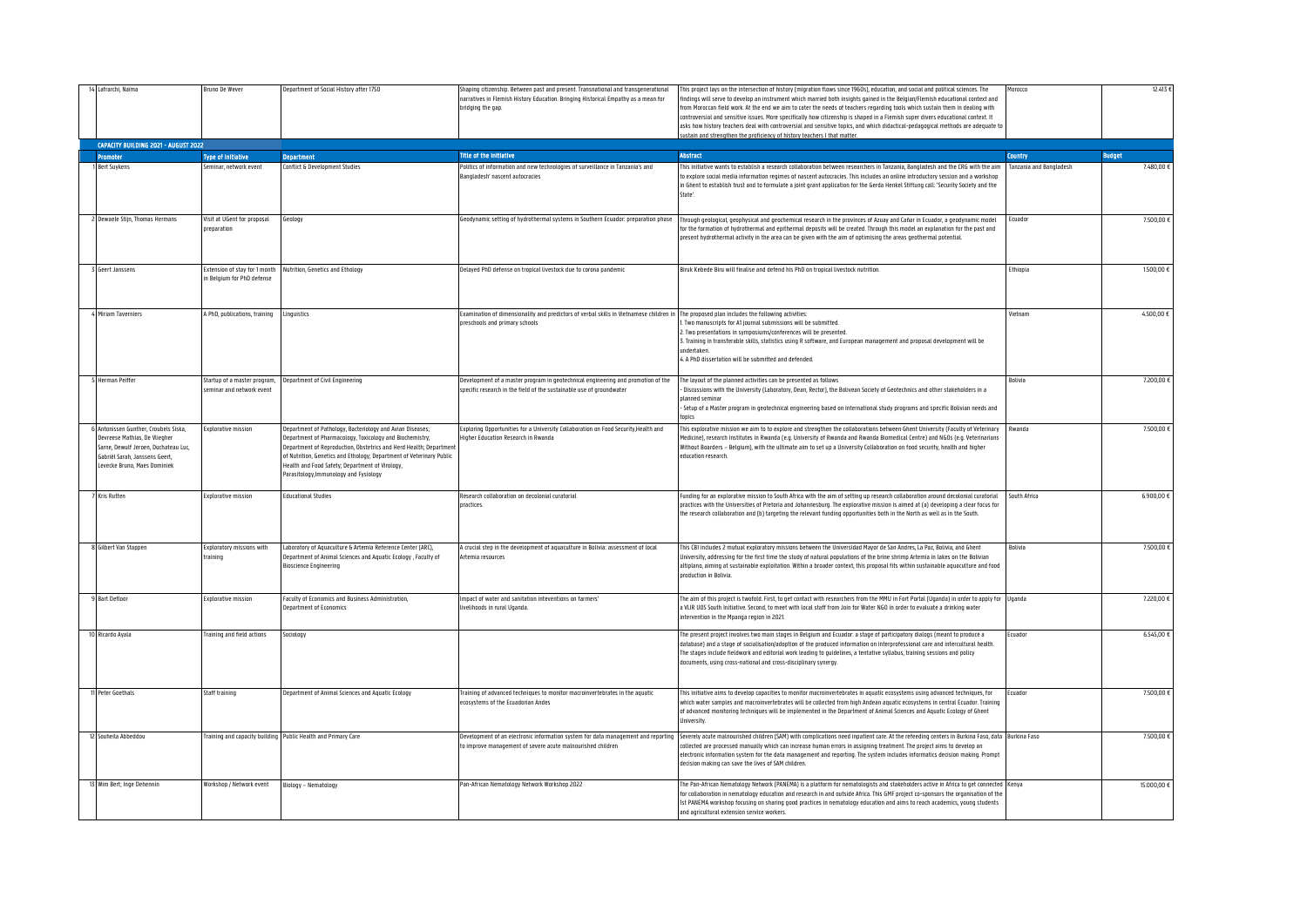| 14 Lafrarchi, Naïma<br>CAPACITY BUILDING 2021 - AUGUST 2022                                                                                                                    | <b>Bruno De Wever</b>                                    | Department of Social History after 1750                                                                                                                                                                                                                                                                                                                        | haping citizenship. Between past and present. Transnational and transgenerational<br>narratives in Flemish History Education. Bringing Historical Empathy as a mean for<br>bridging the gap. | This project lays on the intersection of history (migration flows since 1960s), education, and social and political sciences. The<br>indings will serve to develop an instrument which married both insights gained in the Belgian/Flemish educational context and<br>from Moroccan field work. At the end we aim to cater the needs of teachers regarding tools which sustain them in dealing with<br>ontroversial and sensitive issues. More specifically how citizenship is shaped in a Flemish super divers educational context. It<br>asks how history teachers deal with controversial and sensitive topics, and which didactical-pedaqoqical methods are adequate t<br>ustain and strengthen the proficiency of history teachers I that matter | orocco                  | 12.413 €      |
|--------------------------------------------------------------------------------------------------------------------------------------------------------------------------------|----------------------------------------------------------|----------------------------------------------------------------------------------------------------------------------------------------------------------------------------------------------------------------------------------------------------------------------------------------------------------------------------------------------------------------|----------------------------------------------------------------------------------------------------------------------------------------------------------------------------------------------|-------------------------------------------------------------------------------------------------------------------------------------------------------------------------------------------------------------------------------------------------------------------------------------------------------------------------------------------------------------------------------------------------------------------------------------------------------------------------------------------------------------------------------------------------------------------------------------------------------------------------------------------------------------------------------------------------------------------------------------------------------|-------------------------|---------------|
|                                                                                                                                                                                |                                                          |                                                                                                                                                                                                                                                                                                                                                                | <b>Title of the Initiative</b>                                                                                                                                                               | <b>Abstract</b>                                                                                                                                                                                                                                                                                                                                                                                                                                                                                                                                                                                                                                                                                                                                       | <b>Country</b>          | <b>Budget</b> |
| <b>Promoter</b><br><b>Bert Suvkens</b>                                                                                                                                         | <b>Type of Initiative</b><br>Seminar, network event      | <b>Jepartment</b><br>onflict & Development Studies                                                                                                                                                                                                                                                                                                             | Politics of information and new technologies of surveillance in Tanzania's and                                                                                                               | his initiative wants to establish a research collaboration between researchers in Tanzania, Bangladesh and the CRG with the aim                                                                                                                                                                                                                                                                                                                                                                                                                                                                                                                                                                                                                       | Tanzania and Bangladesh | 7.480,00 €    |
|                                                                                                                                                                                |                                                          |                                                                                                                                                                                                                                                                                                                                                                | Bangladesh' nascent autocracies                                                                                                                                                              | in explore social media information regimes of nascent autocracies. This includes an opline introductory session and a workshop<br>n Ghent to establish trust and to formulate a joint grant application for the Gerda Henkel Stiftung call: 'Security Society and the<br>State'                                                                                                                                                                                                                                                                                                                                                                                                                                                                      |                         |               |
| 2 Dewaele Stijn, Thomas Hermans                                                                                                                                                | Visit at UGent for proposal<br>nrenaration               | ieology                                                                                                                                                                                                                                                                                                                                                        | Seodynamic setting of hydrothermal systems in Southern Ecuador: preparation phase                                                                                                            | Through geological, geophysical and geochemical research in the provinces of Azuay and Cañar in Ecuador, a geodynamic model<br>for the formation of hydrothermal and epithermal deposits will be created. Through this model an explanation for the past and<br>present hydrothermal activity in the area can be given with the aim of optimising the areas geothermal potential.                                                                                                                                                                                                                                                                                                                                                                     | Ecuador                 | 7.500,00 €    |
| <b>Geert Janssens</b>                                                                                                                                                          | in Belaium for PhD defense                               | Extension of stay for 1 month Nutrition, Genetics and Ethology                                                                                                                                                                                                                                                                                                 | Delayed PhD defense on tropical livestock due to corona pandemic                                                                                                                             | Biruk Kebede Biru will finalise and defend his PhD on tropical livestock nutrition.                                                                                                                                                                                                                                                                                                                                                                                                                                                                                                                                                                                                                                                                   | Ethiopia                | 1.500,00 €    |
| 4 Miriam Taverniers                                                                                                                                                            | A PhD, publications, training                            | Linguistics                                                                                                                                                                                                                                                                                                                                                    | Examination of dimensionality and predictors of verbal skills in Vietnamese children in<br>preschools and primary schools                                                                    | The proposed plan includes the following activities:<br>. Two manuscripts for A1 journal submissions will be submitted.<br>2. Two presentations in symposiums/conferences will be presented.<br>3. Training in transferable skills, statistics using R software, and European management and proposal development will be<br>undertaken.<br>4. A PhD dissertation will be submitted and defended.                                                                                                                                                                                                                                                                                                                                                     | Vietnam                 | 4.500,00€     |
| <b>Herman Peiffer</b>                                                                                                                                                          | Startup of a master program,<br>eminar and network event | Department of Civil Engineering                                                                                                                                                                                                                                                                                                                                | Development of a master program in geotechnical engineering and promotion of the<br>specific research in the field of the sustainable use of groundwater                                     | The lavout of the planned activities can be presented as follows<br>Discussions with the University (Laboratory, Dean, Rector), the Bolivean Society of Geotechnics and other stakeholders in a<br>olanned semina<br>Setup of a Master program in geotechnical engineering based on international study programs and specific Bolivian needs and<br>tonics                                                                                                                                                                                                                                                                                                                                                                                            | <b>Bolivia</b>          | 7.200,00 €    |
| Antonissen Gunther, Croubels Siska,<br>Devreese Mathias, De Vliegher<br>Sarne, Dewulf Jeroen, Duchateau Luc,<br>Gabriël Sarah, Janssens Geert,<br>Levecke Bruno, Maes Dominiek | <b>Explorative mission</b>                               | epartment of Pathology, Bacteriology and Avian Diseases;<br>Department of Pharmacology, Toxicology and Biochemistry;<br>Department of Reproduction, Obstetrics and Herd Health; Departmen<br>of Nutrition, Genetics and Ethology; Department of Veterinary Public<br>Health and Food Safety; Department of Virology,<br>Parasitology, Immunology and Fysiology | Exploring Opportunities for a University Collaboration on Food Security, Health and<br>ligher Education Research in Rwanda                                                                   | This explorative mission we aim to to explore and strengthen the collaborations between Ghent University (Faculty of Veterinary<br>Medicine), research institutes in Rwanda (e.g. University of Rwanda and Rwanda Biomedical Centre) and NGOs (e.g. Veterinarians<br>Without Boarders – Belgium), with the ultimate aim to set up a University Collaboration on food security, health and higher<br>education research.                                                                                                                                                                                                                                                                                                                               | Rwanda                  | 7.500,00 €    |
| Kris Rutten                                                                                                                                                                    | <b>Explorative mission</b>                               | <b>Educational Studies</b>                                                                                                                                                                                                                                                                                                                                     | Research collaboration on decolonial curatorial<br>nractices                                                                                                                                 | Funding for an explorative mission to South Africa with the aim of setting up research collaboration around decolonial curatorial<br>practices with the Universities of Pretoria and Johannesburg. The explorative mission is aimed at (a) developing a clear focus for<br>the research collaboration and (b) targeting the relevant funding opportunities both in the North as well as in the South.                                                                                                                                                                                                                                                                                                                                                 | South Africa            | 6.900,00€     |
| 8 Gilbert Van Stappen                                                                                                                                                          | Exploratory missions with<br>raining                     | Laboratory of Aquaculture & Artemia Reference Center (ARC),<br>Department of Animal Sciences and Aquatic Ecology , Faculty of<br><b>Bioscience Engineering</b>                                                                                                                                                                                                 | A crucial step in the development of aquaculture in Bolivia: assessment of local<br>rtemia resources                                                                                         | This CBI includes 2 mutual exploratory missions between the Universidad Mayor de San Andres, La Paz, Bolivia, and Ghent<br>Jniversity, addressing for the first time the study of natural populations of the brine shrimp Artemia in lakes on the Bolivian<br>altiplano, aiming at sustainable exploitation. Within a broader context, this proposal fits within sustainable aquaculture and food<br>production in Bolivia.                                                                                                                                                                                                                                                                                                                           | Bolivia                 | 7.500,00 €    |
| <b>Bart Defloor</b>                                                                                                                                                            | Explorative mission                                      | Faculty of Economics and Business Administration.<br>epartment of Economics                                                                                                                                                                                                                                                                                    | moact of water and sanitation inteventions on farmers'<br>relihoods in rural Uqanda.                                                                                                         | The aim of this project is twofold. First, to get contact with researchers from the MMU in Fort Portal (Uganda) in order to apply for<br>I VLIR UOS South Initiative. Second, to meet with local staff from Join for Water NGO in order to evaluate a drinking water<br>ntervention in the Mpanga region in 2021.                                                                                                                                                                                                                                                                                                                                                                                                                                     | Uganda                  | 7.220.00 €    |
| 10 Ricardo Ayala                                                                                                                                                               | Training and field actions                               | Sociology                                                                                                                                                                                                                                                                                                                                                      |                                                                                                                                                                                              | The present project involves two main stages in Belgium and Ecuador: a stage of participatory dialogs (meant to produce a<br>database) and a stage of socialisation/adoption of the produced information on interprofessional care and intercultural health.<br>The stages include fieldwork and editorial work leading to guidelines, a tentative syllabus, training sessions and policy<br>documents, using cross-national and cross-disciplinary synergy.                                                                                                                                                                                                                                                                                          | Ecuador                 | 6.545,00 €    |
| 11 Peter Goethals                                                                                                                                                              | Staff training                                           | Department of Animal Sciences and Aquatic Ecology                                                                                                                                                                                                                                                                                                              | Fraining of advanced techniques to monitor macroinvertebrates in the aquatic<br>cosystems of the Ecuadorian Andes                                                                            | This initiative aims to develop capacities to monitor macroinvertebrates in aquatic ecosystems using advanced techniques, for<br>which water samples and macroinvertebrates will be collected from high Andean aguatic ecosystems in central Ecuador. Training<br>of advanced monitoring techniques will be implemented in the Department of Animal Sciences and Aquatic Ecology of Ghent<br>Jniversity.                                                                                                                                                                                                                                                                                                                                              | Ecuador                 | 7.500,00 €    |
| 12 Souheila Abbeddou                                                                                                                                                           |                                                          | Training and capacity building Public Health and Primary Care                                                                                                                                                                                                                                                                                                  | Development of an electronic information system for data management and reporting<br>to improve management of severe acute malnourished children                                             | Severely acute malnourished children (SAM) with complications need inpatient care. At the refeeding centers in Burkina Faso, data Burkina Faso<br>collected are processed manually which can increase human errors in assigning treatment. The project aims to develop an<br>electronic information system for the data management and reporting. The system includes informatics decision making. Prompt<br>decision making can save the lives of SAM children.                                                                                                                                                                                                                                                                                      |                         | 7.500,00 €    |
| 13 Wim Bert; Inge Dehennin                                                                                                                                                     | Workshop / Network event                                 | Biology - Nematology                                                                                                                                                                                                                                                                                                                                           | Pan-African Nematology Network Workshop 2022                                                                                                                                                 | The Pan-African Nematology Network (PANEMA) is a platform for nematologists and stakeholders active in Africa to get connected Kenya<br>for collaboration in nematology education and research in and outside Africa. This GMF project co-sponsors the organisation of the<br>1st PANEMA workshop focusing on sharing good practices in nematology education and aims to reach academics, young students<br>and agricultural extension service workers.                                                                                                                                                                                                                                                                                               |                         | 15.000,00 €   |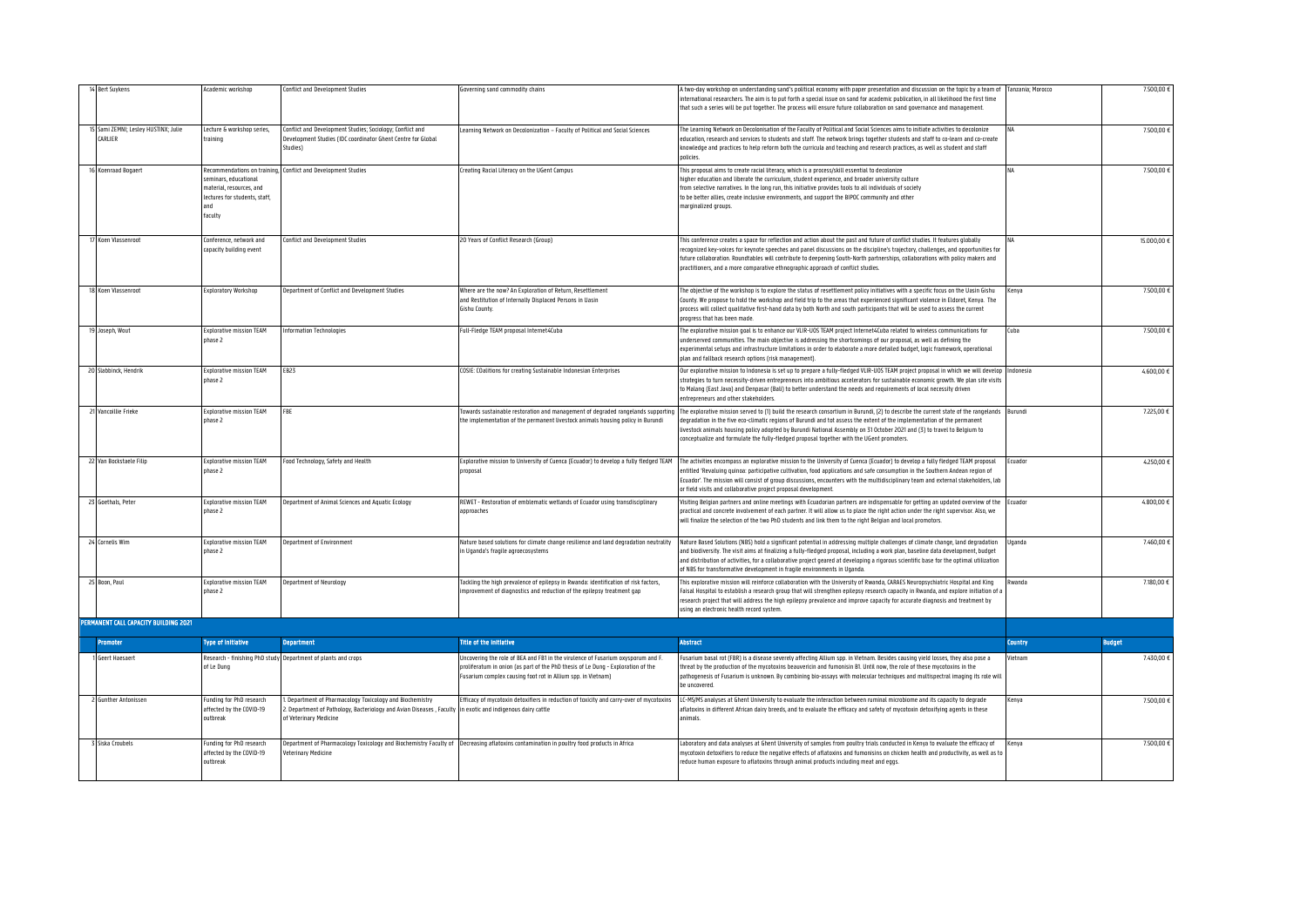| <b>Bert Suykens</b>                             | Academic workshop                                                                                                                    | onflict and Development Studies                                                                                                                                                                | overning sand commodity chains                                                                                                                                                                                                       | A two-day workshop on understanding sand's political economy with paper presentation and discussion on the topic by a team of<br>nternational researchers. The aim is to put forth a special issue on sand for academic publication, in all likelihood the first time<br>that such a series will be put together. The process will ensure future collaboration on sand governance and management.                                                                                           | Tanzania: Morocco | 7.500,00 €    |
|-------------------------------------------------|--------------------------------------------------------------------------------------------------------------------------------------|------------------------------------------------------------------------------------------------------------------------------------------------------------------------------------------------|--------------------------------------------------------------------------------------------------------------------------------------------------------------------------------------------------------------------------------------|---------------------------------------------------------------------------------------------------------------------------------------------------------------------------------------------------------------------------------------------------------------------------------------------------------------------------------------------------------------------------------------------------------------------------------------------------------------------------------------------|-------------------|---------------|
| 15 Sami ZEMNI; Lesley HUSTINX; Julie<br>CARLIER | Lecture & workshop series,<br>training                                                                                               | Conflict and Development Studies; Sociology; Conflict and<br>Development Studies (IDC coordinator Ghent Centre for Global<br>Studies)                                                          | Learning Network on Decolonization - Faculty of Political and Social Sciences                                                                                                                                                        | The Learning Network on Decolonisation of the Faculty of Political and Social Sciences aims to initiate activities to decolonize<br>education, research and services to students and staff. The network brings together students and staff to co-learn and co-create<br>knowledge and practices to help reform both the curricula and teaching and research practices, as well as student and staff<br>policies.                                                                            |                   | 7.500,00      |
| 16 Koenraad Boqaert                             | Recommendations on training,<br>seminars, educational<br>material, resources, and<br>lectures for students, staff,<br>hna<br>faculty | Conflict and Development Studies                                                                                                                                                               | Creating Racial Literacy on the UGent Campus                                                                                                                                                                                         | This proposal aims to create racial literacy, which is a process/skill essential to decolonize<br>higher education and liberate the curriculum, student experience, and broader university culture<br>from selective narratives. In the long run, this initiative provides tools to all individuals of society<br>to be better allies, create inclusive environments, and support the BIPOC community and other<br>marginalized groups.                                                     |                   | 7.500,00 €    |
| Coen Vlassenroot                                | Conference, network and<br>capacity building event                                                                                   | onflict and Development Studies                                                                                                                                                                | 20 Years of Conflict Research (Group)                                                                                                                                                                                                | This conference creates a space for reflection and action about the past and future of conflict studies. It features qlobally<br>recognized key-voices for keynote speeches and panel discussions on the discipline's trajectory, challenges, and opportunities for<br>future collaboration. Roundtables will contribute to deepening South-North partnerships, collaborations with policy makers and<br>practitioners, and a more comparative ethnographic approach of conflict studies.   |                   | 15.000,00 €   |
| Koen Vlassenroot                                | Exploratory Workshop                                                                                                                 | Department of Conflict and Development Studies                                                                                                                                                 | Where are the now? An Exploration of Return, Resettlement<br>and Restitution of Internally Displaced Persons in Uasin<br>Gishu County.                                                                                               | The objective of the workshop is to explore the status of resettlement policy initiatives with a specific focus on the Uasin Gishu<br>County. We propose to hold the workshop and field trip to the areas that experienced significant violence in Eldoret, Kenya. The<br>process will collect qualitative first-hand data by both North and south participants that will be used to assess the current<br>progress that has been made                                                      | <b>Cenya</b>      | 7.500,00 €    |
| Joseph, Wout                                    | <b>Explorative mission TEAM</b><br>phase 2                                                                                           | Information Technologies                                                                                                                                                                       | Full-Fledge TEAM proposal Internet4Cuba                                                                                                                                                                                              | The explorative mission goal is to enhance our VLIR-UOS TEAM project Internet4Cuba related to wireless communications for<br>underserved communities. The main objective is addressing the shortcomings of our proposal, as well as defining the<br>experimental setups and infrastructure limitations in order to elaborate a more detailed budget, logic framework, operational<br>plan and fallback research options (risk management).                                                  | Cuba              | 7.500,00 €    |
| 20 Slabbinck, Hendrik                           | <b>Explorative mission TEAM</b><br>phase 2                                                                                           | <b>EB23</b>                                                                                                                                                                                    | COSIE: COalitions for creating Sustainable Indonesian Enterprises                                                                                                                                                                    | Our explorative mission to Indonesia is set up to prepare a fully-fledged VLIR-UOS TEAM project proposal in which we will develop<br>strategies to turn necessity-driven entrepreneurs into ambitious accelerators for sustainable economic growth. We plan site visits<br>to Malang (East Java) and Denpasar (Bali) to better understand the needs and requirements of local necessity driven<br>entrepreneurs and other stakeholders.                                                     | ndonesia          | 4.600,00 €    |
| Vancoillie Frieke                               | <b>Explorative mission TEAM</b><br>phase 2                                                                                           | FBE                                                                                                                                                                                            | Towards sustainable restoration and management of degraded rangelands supportin<br>the implementation of the permanent livestock animals housing policy in Burundi                                                                   | The explorative mission served to (1) build the research consortium in Burundi, (2) to describe the current state of the rangelands<br>degradation in the five eco-climatic regions of Burundi and tot assess the extent of the implementation of the permanent<br>livestock animals housing policy adopted by Burundi National Assembly on 31 October 2021 and (3) to travel to Belgium to<br>conceptualize and formulate the fully-fledged proposal together with the UGent promoters.    | Burundi           | 7.225,00 €    |
| 22 Van Bockstaele Filip                         | <b>Explorative mission TEAM</b><br>nhase <sub>2</sub>                                                                                | Food Technology, Safety and Health                                                                                                                                                             | Explorative mission to University of Cuenca (Ecuador) to develop a fully fledged TEAM<br>proposal                                                                                                                                    | The activities encompass an explorative mission to the University of Cuenca (Ecuador) to develop a fully fledged TEAM proposal<br>entitled 'Revaluing quinoa: participative cultivation, food applications and safe consumption in the Southern Andean region of<br>Ecuador'. The mission will consist of group discussions, encounters with the multidisciplinary team and external stakeholders, lab<br>or field visits and collaborative project proposal development.                   | Fruador           | 4,250,00 €    |
| Goethals, Peter                                 | <b>Explorative mission TEAM</b><br>phase 2                                                                                           | Department of Animal Sciences and Aquatic Ecology                                                                                                                                              | REWET - Restoration of emblematic wetlands of Ecuador using transdisciplinary<br>approaches                                                                                                                                          | Visiting Belgian partners and online meetings with Ecuadorian partners are indispensable for getting an updated overview of the<br>practical and concrete involvement of each partner. It will allow us to place the right action under the right supervisor. Also, we<br>will finalize the selection of the two PhD students and link them to the right Belgian and local promotors.                                                                                                       | Ecuador           | 4.800,00 €    |
| 24 Cornelis Wim                                 | <b>Explorative mission TEAM</b><br>nhase <sub>2</sub>                                                                                | Department of Environment                                                                                                                                                                      | Nature based solutions for climate change resilience and land degradation neutrality<br>in Uganda's fragile agroecosystems                                                                                                           | Nature Based Solutions (NBS) hold a significant potential in addressing multiple challenges of climate change, land degradation<br>and biodiversity. The visit aims at finalizing a fully-fledged proposal, including a work plan, baseline data development, budget<br>and distribution of activities, for a collaborative project geared at developing a rigorous scientific base for the optimal utilization<br>of NBS for transformative development in fragile environments in Uganda. | Uqanda            | 7.460.00 +    |
| 25 Boon, Paul                                   | <b>Explorative mission TEAM</b><br>nhase <sub>2</sub>                                                                                | Department of Neurology                                                                                                                                                                        | Tackling the high prevalence of epilepsy in Rwanda: identification of risk factors,<br>improvement of diagnostics and reduction of the epilepsy treatment gap                                                                        | This explorative mission will reinforce collaboration with the University of Rwanda, CARAES Neuropsychiatric Hospital and King<br>.<br>Faisal Hospital to establish a research group that will strengthen epilepsy research capacity in Rwanda, and explore initiation of a<br>research project that will address the high epilepsy prevalence and improve capacity for accurate diagnosis and treatment by<br>using an electronic health record system.                                    | wanda             | 7.180,00 €    |
| PERMANENT CALL CAPACITY BUILDING 2021           |                                                                                                                                      |                                                                                                                                                                                                |                                                                                                                                                                                                                                      |                                                                                                                                                                                                                                                                                                                                                                                                                                                                                             |                   |               |
| Promoter                                        | <b>Type of Initiative</b>                                                                                                            | <b>Department</b>                                                                                                                                                                              | <b>Title of the Initiative</b>                                                                                                                                                                                                       | <b>Abstract</b>                                                                                                                                                                                                                                                                                                                                                                                                                                                                             | Country           | <b>Budget</b> |
| ieert Haesaert                                  | of Le Dung                                                                                                                           | Research - finishing PhD study Department of plants and crops                                                                                                                                  | Uncovering the role of BEA and FB1 in the virulence of Fusarium oxysporum and F.<br>proliferatum in onion (as part of the PhD thesis of Le Dung - Exploration of the<br>Fusarium complex causing foot rot in Allium spp. in Vietnam) | Fusarium basal rot (FBR) is a disease severely affecting Allium spp. in Vietnam. Besides causing yield losses, they also pose a<br>threat by the production of the mycotoxins beauvericin and fumonisin B1. Until now, the role of these mycotoxins in the<br>pathogenesis of Fusarium is unknown. By combining bio-assays with molecular techniques and multispectral imaging its role will<br>he uncovered                                                                                | etnam             | 7.430.00€     |
| iunther Antonissen                              | Funding for PhD research<br>affected by the COVID-19<br>outhreak                                                                     | Department of Pharmacology Toxicology and Biochemistry<br>2. Department of Pathology, Bacteriology and Avian Diseases, Faculty in exotic and indigenous dairy cattle<br>of Veterinary Medicine | Efficacy of mycotoxin detoxifiers in reduction of toxicity and carry-over of mycotoxins                                                                                                                                              | LC-MS/MS analyses at Ghent University to evaluate the interaction between ruminal microbiome and its capacity to degrade<br>aflatoxins in different African dairy breeds, and to evaluate the efficacy and safety of mycotoxin detoxifying agents in these<br>animals                                                                                                                                                                                                                       | Cenya             | 7.500.00      |
| Siska Croubels                                  | Funding for PhD research<br>affected by the COVID-19<br>outbreak                                                                     | <b>/eterinary Medicine</b>                                                                                                                                                                     | Department of Pharmacology Toxicology and Biochemistry Faculty of Decreasing aflatoxins contamination in poultry food products in Africa                                                                                             | aboratory and data analyses at Ghent University of samples from poultry trials conducted in Kenya to evaluate the efficacy of<br>nycotoxin detoxifiers to reduce the negative effects of aflatoxins and fumonisins on chicken health and productivity, as well as to<br>reduce human exposure to aflatoxins through animal products including meat and eggs.                                                                                                                                | Kenva             | 7.500,00 €    |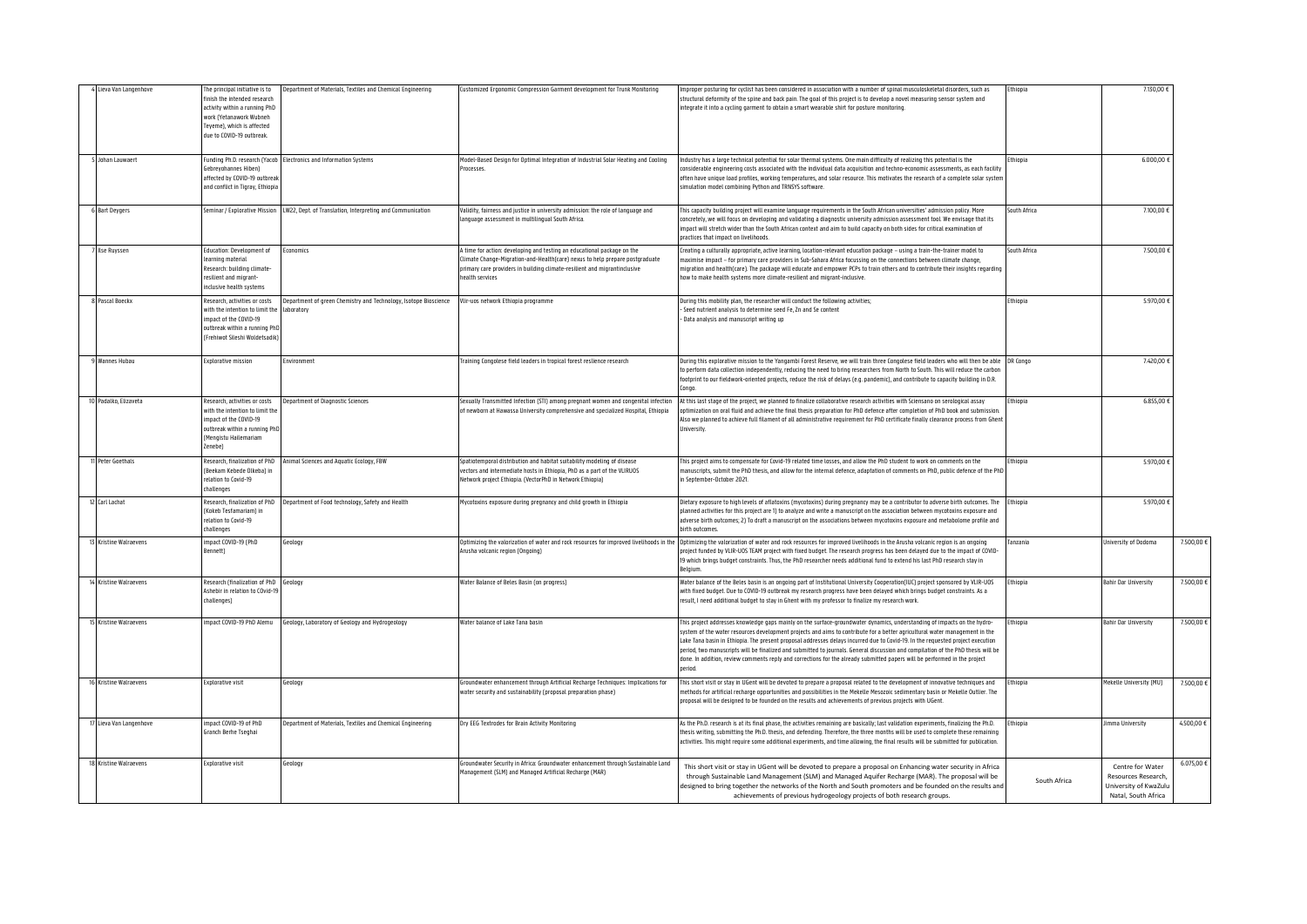| Lieva Van Langenhove       | The principal initiative is to<br>finish the intended research<br>activity within a running PhD<br>work (Yetanawork Wubneh<br>Teyeme), which is affected<br>due to COVID-19 outbreak. | Department of Materials, Textiles and Chemical Engineering                               | Customized Ergonomic Compression Garment development for Trunk Monitoring                                                                                                                                                                           | Improper posturing for cyclist has been considered in association with a number of spinal musculoskeletal disorders, such as<br>structural deformity of the spine and back pain. The goal of this project is to develop a novel measuring sensor system and<br>integrate it into a cycling garment to obtain a smart wearable shirt for posture monitoring.                                                                                                                                                                                                                                                                                                              | thiopia      | 7.130,00 €                                                                             |            |
|----------------------------|---------------------------------------------------------------------------------------------------------------------------------------------------------------------------------------|------------------------------------------------------------------------------------------|-----------------------------------------------------------------------------------------------------------------------------------------------------------------------------------------------------------------------------------------------------|--------------------------------------------------------------------------------------------------------------------------------------------------------------------------------------------------------------------------------------------------------------------------------------------------------------------------------------------------------------------------------------------------------------------------------------------------------------------------------------------------------------------------------------------------------------------------------------------------------------------------------------------------------------------------|--------------|----------------------------------------------------------------------------------------|------------|
| Johan Lauwaert             | Gebreyohannes Hiben)<br>affected by COVID-19 outbreak<br>and conflict in Tigray, Ethiopia                                                                                             | Funding Ph.D. research (Yacob Electronics and Information Systems                        | Model-Based Design for Optimal Integration of Industrial Solar Heating and Cooling<br>Processes.                                                                                                                                                    | Industry has a large technical potential for solar thermal systems. One main difficulty of realizing this potential is the<br>considerable engineering costs associated with the individual data acquisition and techno-economic assessments, as each facility<br>often have unique load profiles, working temperatures, and solar resource. This motivates the research of a complete solar syster<br>simulation model combining Python and TRNSYS software.                                                                                                                                                                                                            | thiopia      | 6.000,00                                                                               |            |
| <b>Bart Deygers</b>        |                                                                                                                                                                                       | Seminar / Explorative Mission LW22, Dept. of Translation, Interpreting and Communication | Validity, fairness and iustice in university admission: the role of language and<br>anquage assessment in multilingual South Africa.                                                                                                                | This capacity building project will examine language requirements in the South African universities' admission policy. More<br>concretely, we will focus on developing and validating a diagnostic university admission assessment tool. We envisage that its<br>impact will stretch wider than the South African context and aim to build capacity on both sides for critical examination of<br>practices that impact on livelihoods.                                                                                                                                                                                                                                   | outh Africa  | 7.100.00                                                                               |            |
| llse Ruyssen               | Education: Development of<br>learning material<br>Research: building climate-<br>resilient and migrant-<br>inclusive health systems                                                   | conomics                                                                                 | time for action: developing and testing an educational package on the<br>limate Change-Migration-and-Health(care) nexus to help prepare postgraduate<br>rimary care providers in building climate-resilient and migrantinclusive<br>health services | Creating a culturally appropriate, active learning, location-relevant education package – using a train-the-trainer model to<br>maximise impact – for primary care providers in Sub-Sahara Africa focussing on the connections between climate change,<br>migration and health(care). The package will educate and empower PCPs to train others and to contribute their insights regarding<br>how to make health systems more climate-resilient and migrant-inclusive.                                                                                                                                                                                                   | outh Africa  | 7.500,00                                                                               |            |
| 8 Pascal Boeckx            | Research, activities or costs<br>with the intention to limit the laboratory<br>impact of the COVID-19<br>outbreak within a running Phf<br>(Frehiwot Sileshi Woldetsadik)              | Department of green Chemistry and Technology, Isotope Bioscience                         | Vlir-uos network Ethiopia programme                                                                                                                                                                                                                 | During this mobility plan, the researcher will conduct the following activities;<br>Seed nutrient analysis to determine seed Fe, Zn and Se content<br>- Data analysis and manuscript writing up                                                                                                                                                                                                                                                                                                                                                                                                                                                                          | Ethiopia     | 5.970,00                                                                               |            |
| 9 Wannes Hubau             | <b>Explorative mission</b>                                                                                                                                                            | nvironment                                                                               | Training Congolese field leaders in tropical forest reslience research                                                                                                                                                                              | During this explorative mission to the Yangambi Forest Reserve, we will train three Congolese field leaders who will then be able<br>to perform data collection independently, reducing the need to bring researchers from North to South. This will reduce the carbon<br>footprint to our fieldwork-oriented projects, reduce the risk of delays (e.g. pandemic), and contribute to capacity building in D.R.<br>onno                                                                                                                                                                                                                                                   | DR Congo     | 7420.00                                                                                |            |
| 10 Padalko, Elizaveta      | Research, activities or costs<br>with the intention to limit the<br>impact of the COVID-19<br>outbreak within a running PhD<br>Mengistu Hailemariam<br>Zenebel                        | Department of Diagnostic Sciences                                                        | Sexually Transmitted Infection (STI) among pregnant women and congenital infection<br>of newborn at Hawassa University comprehensive and specialized Hospital, Ethiopia                                                                             | At this last stage of the project, we planned to finalize collaborative research activities with Sciensano on serological assay<br>optimization on oral fluid and achieve the final thesis preparation for PhD defence after completion of PhD book and submission<br>Also we planned to achieve full filament of all administrative requirement for PhD certificate finally clearance process from Gher<br><b>Ilniversity</b>                                                                                                                                                                                                                                           | Ethiopia     | 6.855,00                                                                               |            |
| 1 Peter Goethals           | Research, finalization of PhD<br>(Beekam Kebede Olkeba) in<br>relation to Covid-19<br>challenges                                                                                      | Animal Sciences and Aquatic Ecology, FBW                                                 | Spatiotemporal distribution and habitat suitability modeling of disease<br>rectors and intermediate hosts in Ethiopia, PhD as a part of the VLIRUOS<br>Network project Ethiopia. (VectorPhD in Network Ethiopia)                                    | This project aims to compensate for Covid-19 related time losses, and allow the PhD student to work on comments on the<br>manuscripts, submit the PhD thesis, and allow for the internal defence, adaptation of comments on PhD, public defence of the PhI<br>in Sentember-October 2021                                                                                                                                                                                                                                                                                                                                                                                  | thiopia      | 5.970,00                                                                               |            |
| 12 Carl Lachat             | Research, finalization of PhD<br>(Kokeb Tesfamariam) in<br>relation to Covid-19<br>challenges                                                                                         | Department of Food technology, Safety and Health                                         | Mycotoxins exposure during pregnancy and child growth in Ethiopia                                                                                                                                                                                   | Dietary exposure to high levels of aflatoxins (mycotoxins) during pregnancy may be a contributor to adverse birth outcomes. The<br>planned activities for this project are 1) to analyze and write a manuscript on the association between mycotoxips exposure and<br>adverse birth outcomes; 2) To draft a manuscript on the associations between mycotoxins exposure and metabolome profile and<br>birth outcomes.                                                                                                                                                                                                                                                     | Ethiopia     | 5.970,00                                                                               |            |
| 13 Kristine Walraevens     | impact COVID-19 (PhD<br>Bennett)                                                                                                                                                      | Seology                                                                                  | Optimizing the valorization of water and rock resources for improved livelihoods in the<br>Arusha volcanic region (Ongoing)                                                                                                                         | Optimizing the valorization of water and rock resources for improved livelihoods in the Arusha volcanic region is an ongoing<br>project funded by VLIR-UOS TEAM project with fixed budget. The research progress has been delayed due to the impact of COVID-<br>19 which brings budget constraints. Thus, the PhD researcher needs additional fund to extend his last PhD research stay in<br>Belgium.                                                                                                                                                                                                                                                                  | Tanzania     | University of Dodoma                                                                   | 7.500,00 € |
| 14 Kristine Walraevens     | Research (finalization of PhD<br>Ashebir in relation to COvid-19<br>challenges)                                                                                                       | Geology                                                                                  | Water Balance of Beles Basin (on progress)                                                                                                                                                                                                          | Water balance of the Beles basin is an ongoing part of Institutional University Cooperation(IUC) project sponsored by VLIR-UOS<br>with fixed budget. Due to COVID-19 outbreak my research progress have been delayed which brings budget constraints. As a<br>result, I need additional budget to stay in Ghent with my professor to finalize my research work.                                                                                                                                                                                                                                                                                                          | Ethiopia     | <b>Bahir Dar University</b>                                                            | 7.500,00 € |
| 15 Kristine Walraevens     | impact COVID-19 PhD Alemu                                                                                                                                                             | Geology, Laboratory of Geology and Hydrogeology                                          | Water balance of Lake Tana basin                                                                                                                                                                                                                    | This project addresses knowledge gaps mainly on the surface-groundwater dynamics, understanding of impacts on the hydro-<br>system of the water resources develonment projects and aims to contribute for a better agricultural water management in the<br>Lake Tana basin in Ethiopia. The present proposal addresses delays incurred due to Covid-19. In the requested project execution<br>period, two manuscripts will be finalized and submitted to journals. General discussion and compilation of the PhD thesis will be<br>done. In addition, review comments reply and corrections for the already submitted papers will be performed in the project<br>period. | thiopia:     | Bahir Dar Universitv                                                                   | 7.500,00 € |
| <b>Kristine Walraevens</b> | <b>Explorative visit</b>                                                                                                                                                              | Geology                                                                                  | Groundwater enhancement through Artificial Recharge Techniques: Implications for<br>water security and sustainability (proposal preparation phase)                                                                                                  | This short visit or stav in UGent will be devoted to prepare a proposal related to the development of innovative techniques and<br>methods for artificial recharge opportunities and possibilities in the Mekelle Mesozoic sedimentary basin or Mekelle Outlier. The<br>proposal will be designed to be founded on the results and achievements of previous projects with UGent.                                                                                                                                                                                                                                                                                         | Ethiopia     | Mekelle University (MU)                                                                | 7.500,00 € |
| 17 Lieva Van Langenhove    | impact COVID-19 of PhD<br>Granch Berhe Tseghai                                                                                                                                        | Department of Materials, Textiles and Chemical Engineering                               | Dry EEG Textrodes for Brain Activity Monitoring                                                                                                                                                                                                     | As the Ph.D. research is at its final phase, the activities remaining are basically; last validation experiments, finalizing the Ph.D.<br>thesis writing, submitting the Ph.D. thesis, and defending. Therefore, the three months will be used to complete these remaining<br>activities. This might require some additional experiments, and time allowing, the final results will be submitted for publication.                                                                                                                                                                                                                                                        | Ethiopia     | Jimma University                                                                       | 4.500,00€  |
| 18 Kristine Walraevens     | <b>Explorative visit</b>                                                                                                                                                              | Seology                                                                                  | Groundwater Security in Africa: Groundwater enhancement through Sustainable Land<br>Management (SLM) and Managed Artificial Recharge (MAR)                                                                                                          | This short visit or stay in UGent will be devoted to prepare a proposal on Enhancing water security in Africa<br>through Sustainable Land Management (SLM) and Managed Aquifer Recharge (MAR). The proposal will be<br>designed to bring together the networks of the North and South promoters and be founded on the results and<br>achievements of previous hydrogeology projects of both research groups.                                                                                                                                                                                                                                                             | South Africa | Centre for Water<br>Resources Research<br>University of KwaZulu<br>Natal, South Africa | 6.075,00 € |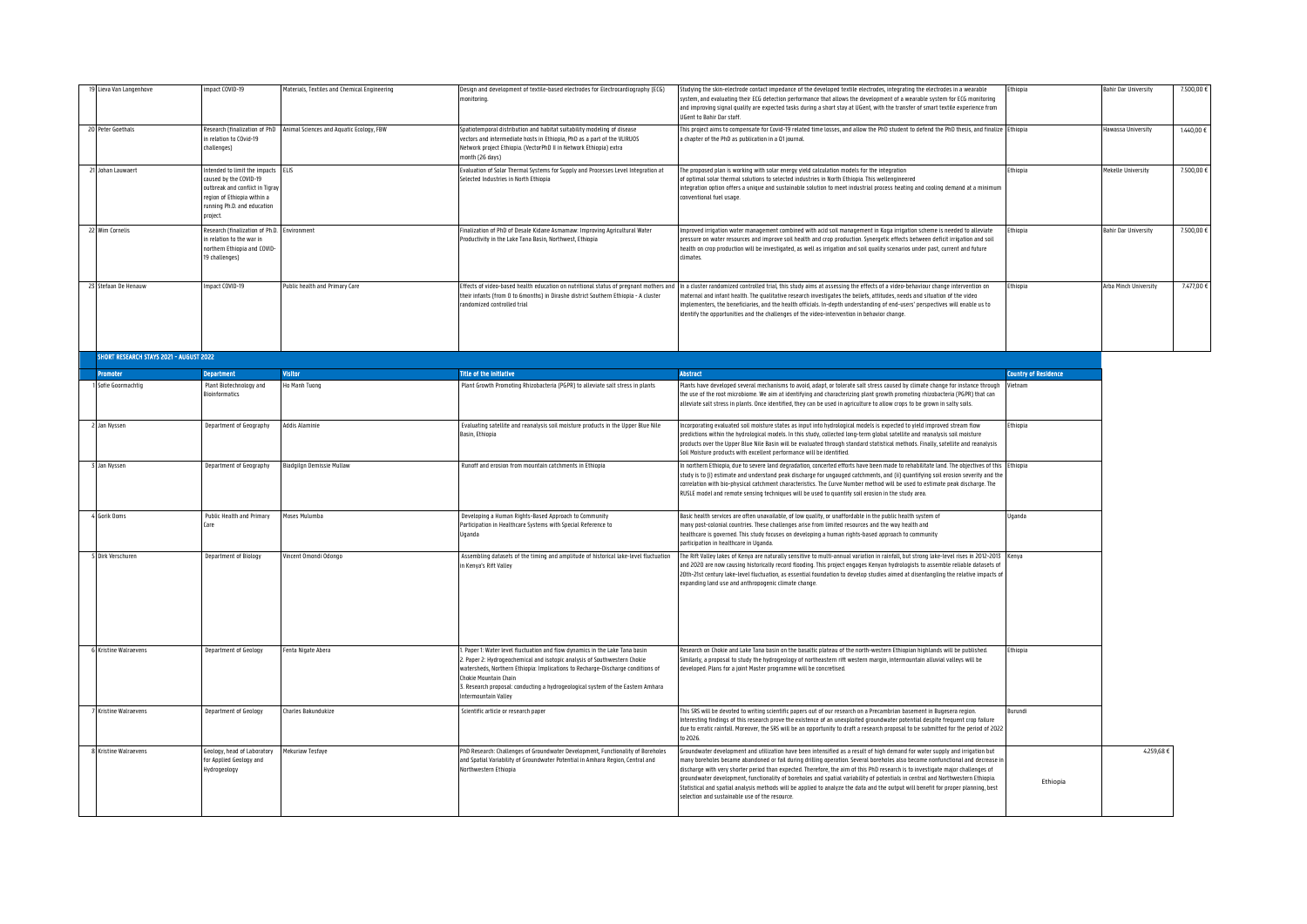| 19 Lieva Van Langenhove                 | mpact COVID-19                                                                                                                                                            | Materials, Textiles and Chemical Engineering                           | Design and development of textile-based electrodes for Electrocardiography (ECG)<br>monitoring.                                                                                                                                                                                                                                                                             | Studying the skin-electrode contact impedance of the developed textile electrodes, integrating the electrodes in a wearable<br>system, and evaluating their ECG detection performance that allows the development of a wearable system for ECG monitoring<br>and improving signal quality are expected tasks during a short stay at UGent, with the transfer of smart textile experience from<br><b>IlGent to Rabir Dar staff</b>                                                                                                                                                                                                                                                                                           | thiopia                     | <b>Bahir Dar University</b> | 7.500,00 € |
|-----------------------------------------|---------------------------------------------------------------------------------------------------------------------------------------------------------------------------|------------------------------------------------------------------------|-----------------------------------------------------------------------------------------------------------------------------------------------------------------------------------------------------------------------------------------------------------------------------------------------------------------------------------------------------------------------------|-----------------------------------------------------------------------------------------------------------------------------------------------------------------------------------------------------------------------------------------------------------------------------------------------------------------------------------------------------------------------------------------------------------------------------------------------------------------------------------------------------------------------------------------------------------------------------------------------------------------------------------------------------------------------------------------------------------------------------|-----------------------------|-----------------------------|------------|
| 20 Peter Goethals                       | in relation to COvid-19<br>challenges)                                                                                                                                    | Research (finalization of PhD Animal Sciences and Aquatic Ecology, FBW | Spatiotemporal distribution and habitat suitability modeling of disease<br>vectors and intermediate hosts in Ethiopia. PhD as a part of the VLIRUOS<br>Network project Ethiopia. (VectorPhD II in Network Ethiopia) extra<br>nonth (26 days)                                                                                                                                | This project aims to compensate for Covid-19 related time losses, and allow the PhD student to defend the PhD thesis, and finalize Ethiopia<br>a chapter of the PhD as publication in a Q1 iournal.                                                                                                                                                                                                                                                                                                                                                                                                                                                                                                                         |                             | Hawassa University          | 1.440,00 € |
| 21 Johan Lauwaert                       | Intended to limit the impacts ELIS<br>caused by the COVID-19<br>outbreak and conflict in Tigray<br>region of Ethiopia within a<br>running Ph.D. and education<br>project. |                                                                        | Evaluation of Solar Thermal Systems for Supply and Processes Level Integration at<br>elected Industries in North Ethiopia                                                                                                                                                                                                                                                   | The proposed plan is working with solar energy yield calculation models for the integration<br>of optimal solar thermal solutions to selected industries in North Ethiopia. This wellengineered<br>integration option offers a unique and sustainable solution to meet industrial process heating and cooling demand at a minimun<br>conventional fuel usage.                                                                                                                                                                                                                                                                                                                                                               | Ethiopia                    | Mekelle University          | 7.500,00 € |
| 22 Wim Cornelis                         | Research (finalization of Ph.D. Environment<br>in relation to the war in<br>northern Ethiopia and COVID-<br>19 challenges)                                                |                                                                        | Finalization of PhD of Desale Kidane Asmamaw: Improving Agricultural Water<br>Productivity in the Lake Tana Basin, Northwest, Ethiopia                                                                                                                                                                                                                                      | Improved irrigation water management combined with acid soil management in Koga irrigation scheme is needed to alleviate<br>pressure on water resources and improve soil health and crop production. Synergetic effects between deficit irrigation and soil<br>health on crop production will be investigated, as well as irrigation and soil quality scenarios under past, current and future<br>climates.                                                                                                                                                                                                                                                                                                                 | Ethiopia                    | Bahir Dar University        | 7.500,00 € |
| 23 Stefaan De Henauw                    | mpact COVID-19                                                                                                                                                            | ublic health and Primary Care                                          | ffects of video-based health education on nutritional status of pregnant mothers and<br>their infants (from 0 to 6months) in Dirashe district Southern Ethiopia - A cluster<br>andomized controlled trial                                                                                                                                                                   | In a cluster randomized controlled trial, this study aims at assessing the effects of a video-behaviour change intervention on<br>naternal and infant health. The qualitative research investigates the beliefs, attitudes, needs and situation of the video<br>implementers, the beneficiaries, and the health officials. In-depth understanding of end-users' perspectives will enable us to<br>identify the opportunities and the challenges of the video-intervention in behavior change.                                                                                                                                                                                                                               | thiopia                     | Arba Minch University       | 7.477,00 € |
| SHORT RESEARCH STAYS 2021 - AUGUST 2022 |                                                                                                                                                                           |                                                                        |                                                                                                                                                                                                                                                                                                                                                                             |                                                                                                                                                                                                                                                                                                                                                                                                                                                                                                                                                                                                                                                                                                                             |                             |                             |            |
| Promoter                                | <b>Department</b>                                                                                                                                                         | Visitor                                                                | <b>litie of the initiative</b>                                                                                                                                                                                                                                                                                                                                              | <b>Abstract</b>                                                                                                                                                                                                                                                                                                                                                                                                                                                                                                                                                                                                                                                                                                             | <b>Country of Residence</b> |                             |            |
| Sofie Goormachtig                       | Plant Biotechnology and<br><b>Bioinformatics</b>                                                                                                                          | Ho Manh Tuong                                                          | Plant Growth Promoting Rhizobacteria (PGPR) to alleviate salt stress in plants                                                                                                                                                                                                                                                                                              | Plants have developed several mechanisms to avoid, adapt, or tolerate salt stress caused by climate change for instance through<br>the use of the root microbiome. We aim at identifying and characterizing plant growth promoting rhizobacteria (PGPR) that can<br>alleviate salt stress in plants. Once identified, they can be used in agriculture to allow crops to be grown in salty soils.                                                                                                                                                                                                                                                                                                                            | Vietnam                     |                             |            |
| Jan Nyssen                              | Department of Geography                                                                                                                                                   | Addis Alaminie                                                         | Evaluating satellite and reanalysis soil moisture products in the Upper Blue Nile<br>Basin, Ethiopia                                                                                                                                                                                                                                                                        | Incorporating evaluated soil moisture states as input into hydrological models is expected to yield improved stream flow<br>predictions within the hydrological models. In this study, collected long-term global satellite and reanalysis soil moisture<br>products over the Upper Blue Nile Basin will be evaluated through standard statistical methods. Finally, satellite and reanalysis<br>Soil Moisture products with excellent performance will be identified                                                                                                                                                                                                                                                       | Ethiopia                    |                             |            |
| 3 Jan Nyssen                            | Department of Geography                                                                                                                                                   | Biadgilgn Demissie Mullaw                                              | Runoff and erosion from mountain catchments in Ethiopia                                                                                                                                                                                                                                                                                                                     | In northern Ethiopia, due to severe land degradation, concerted efforts have been made to rehabilitate land. The objectives of this<br>study is to (i) estimate and understand peak discharge for ungauged catchments, and (ii) quantifying soil erosion severity and th<br>correlation with bio-physical catchment characteristics. The Curve Number method will be used to estimate peak discharge. The<br>RUSLE model and remote sensing techniques will be used to quantify soil erosion in the study area.                                                                                                                                                                                                             | Ethiopia                    |                             |            |
| 4 Gorik Ooms                            | Public Health and Primary<br>Care                                                                                                                                         | Moses Mulumba                                                          | Developing a Human Rights-Based Approach to Community<br>Participation in Healthcare Systems with Special Reference to<br>Jganda                                                                                                                                                                                                                                            | Basic health services are often unavailable, of low quality, or unaffordable in the public health system of<br>nany post-colonial countries. These challenges arise from limited resources and the way health and<br>healthcare is governed. This study focuses on developing a human rights-based approach to community<br>participation in bealthcare in Hoanda                                                                                                                                                                                                                                                                                                                                                           | Jqanda                      |                             |            |
| 5 Dirk Verschuren                       | Department of Biology                                                                                                                                                     | Vincent Omondi Odongo                                                  | Assembling datasets of the timing and amplitude of historical lake-level fluctuation<br>in Kenya's Rift Valley                                                                                                                                                                                                                                                              | The Rift Valley lakes of Kenya are naturally sensitive to multi-annual variation in rainfall, but strong lake-level rises in 2012-2013 Kenya<br>and 2020 are now causing historically record flooding. This project engages Kenyan hydrologists to assemble reliable datasets of<br>20th-21st century lake-level fluctuation, as essential foundation to develop studies aimed at disentangling the relative impacts o<br>expanding land use and anthropogenic climate change.                                                                                                                                                                                                                                              |                             |                             |            |
| Kristine Walraevens                     | Department of Geology                                                                                                                                                     | enta Nigate Abera                                                      | Paper 1: Water level fluctuation and flow dynamics in the Lake Tana basin<br>2. Paper 2: Hydrogeochemical and isotopic analysis of Southwestern Chokie<br>watersheds, Northern Ethiopia: Implications to Recharge-Discharge conditions of<br>Chokie Mountain Chain<br>. Research proposal: conducting a hydrogeological system of the Eastern Amhara<br>ntermountain Valley | Research on Chokie and Lake Tana basin on the basaltic plateau of the north-western Ethiopian highlands will be published.<br>Similarly, a proposal to study the hydrogeology of northeastern rift western margin, intermountain alluvial valleys will be<br>developed. Plans for a joint Master programme will be concretised.                                                                                                                                                                                                                                                                                                                                                                                             | Ethiopia                    |                             |            |
| 7 Kristine Walraevens                   | Department of Geology                                                                                                                                                     | harles Bakundukize                                                     | Scientific article or research paper                                                                                                                                                                                                                                                                                                                                        | This SRS will be devoted to writing scientific papers out of our research on a Precambrian basement in Bugesera region<br>Interesting findings of this research prove the existence of an unexploited groundwater potential despite frequent crop failure<br>due to erratic rainfall. Moreover, the SRS will be an opportunity to draft a research proposal to be submitted for the period of 2022<br>tn 2026                                                                                                                                                                                                                                                                                                               | <b>Surundi</b>              |                             |            |
| 8 Kristine Walraevens                   | Geology, head of Laboratory<br>for Applied Geology and<br>Hydrogeology                                                                                                    | Mekuriaw Tesfaye                                                       | PhD Research: Challenges of Groundwater Development, Functionality of Boreholes<br>and Spatial Variability of Groundwater Potential in Amhara Region, Central and<br>Northwestern Ethiopia                                                                                                                                                                                  | Groundwater development and utilization have been intensified as a result of high demand for water supply and irrigation but<br>many horeholes became abandoned or fail during drilling operation. Several horeholes also become nonfunctional and decrease i<br>discharge with very shorter period than expected. Therefore, the aim of this PhD research is to investigate major challenges of<br>groundwater development, functionality of boreholes and spatial variability of potentials in central and Northwestern Ethiopia.<br>Statistical and spatial analysis methods will be applied to analyze the data and the output will benefit for proper planning, best<br>selection and sustainable use of the resource. | Ethiopia                    | 4,259.68€                   |            |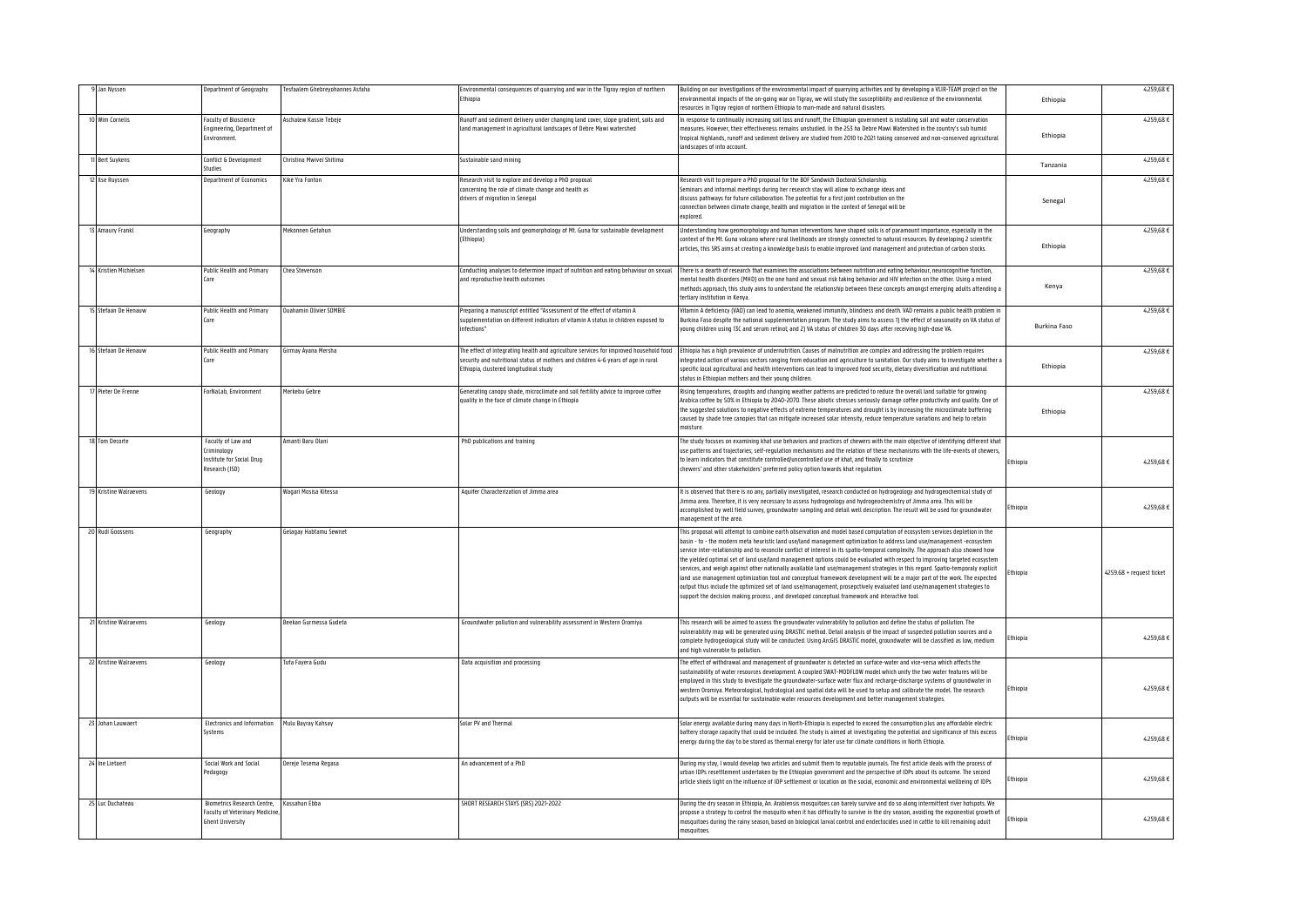| Jan Nyssen             | Department of Geography                                                                                | Tesfaalem Ghebreyohannes Asfaha | nvironmental consequences of quarrying and war in the Tigray region of northern<br>Ethiopia                                                                                                                          | Building on our investigations of the environmental impact of quarrying activities and by developing a VLIR-TEAM project on the<br>environmental impacts of the on-going war on Tigray, we will study the susceptibility and resilience of the environmental<br>esources in Tigray region of northern Ethionia to man-made and natural disasters                                                                                                                                                                                                                                                                                                                                                                                                                                                                                                                                                                                                                                                                    | Ethiopia       | 4.259,68€                |
|------------------------|--------------------------------------------------------------------------------------------------------|---------------------------------|----------------------------------------------------------------------------------------------------------------------------------------------------------------------------------------------------------------------|---------------------------------------------------------------------------------------------------------------------------------------------------------------------------------------------------------------------------------------------------------------------------------------------------------------------------------------------------------------------------------------------------------------------------------------------------------------------------------------------------------------------------------------------------------------------------------------------------------------------------------------------------------------------------------------------------------------------------------------------------------------------------------------------------------------------------------------------------------------------------------------------------------------------------------------------------------------------------------------------------------------------|----------------|--------------------------|
| 10 Wim Cornelis        | <b>Faculty of Bioscience</b><br>Engineering, Department of<br>Environment.                             | Aschalew Kassie Tebeje          | Runoff and sediment delivery under changing land cover, slope gradient, soils and<br>land management in agricultural landscapes of Debre Mawi watershed                                                              | n response to continually increasing soil loss and runoff, the Ethiopian government is installing soil and water conservation<br>measures. However, their effectiveness remains unstudied. In the 253 ha Debre Mawi Watershed in the country's sub humid<br>tropical highlands, runoff and sediment delivery are studied from 2010 to 2021 taking conserved and non-conserved agricultural<br>andscapes of into account.                                                                                                                                                                                                                                                                                                                                                                                                                                                                                                                                                                                            | Ethiopia       | 4.259,68€                |
| Bert Suykens           | Conflict & Development<br><b>Studies</b>                                                               | Christina Mwivei Shitima        | Sustainable sand mining                                                                                                                                                                                              |                                                                                                                                                                                                                                                                                                                                                                                                                                                                                                                                                                                                                                                                                                                                                                                                                                                                                                                                                                                                                     | Tanzania       | 4.259,68€                |
| <b>Ilse Ruyssen</b>    | Department of Economics                                                                                | Kikė Yra Fonton                 | Research visit to explore and develop a PhD proposal<br>concerning the role of climate change and health as<br>drivers of migration in Senegal                                                                       | Research visit to prepare a PhD proposal for the BOF Sandwich Doctoral Scholarship.<br>Seminars and informal meetings during her research stay will allow to exchange ideas and<br>discuss pathways for future collaboration. The potential for a first joint contribution on the<br>connection between climate change, health and migration in the context of Senegal will be<br>explored.                                                                                                                                                                                                                                                                                                                                                                                                                                                                                                                                                                                                                         | Senegal        | 4.259,68€                |
| 13 Amaury Frankl       | Geography                                                                                              | Mekonnen Getahun                | Understanding soils and geomorphology of Mt. Guna for sustainable development<br>(Ethiopia)                                                                                                                          | Jnderstanding how geomorphology and human interventions have shaped soils is of paramount importance, especially in the<br>context of the Mt. Guna volcano where rural livelihoods are strongly connected to natural resources. By developing 2 scientific<br>articles, this SRS aims at creating a knowledge basis to enable improved land management and protection of carbon stocks.                                                                                                                                                                                                                                                                                                                                                                                                                                                                                                                                                                                                                             | Ethiopia       | 4.259,68€                |
| 14 Kristien Michielsen | <b>Public Health and Primary</b><br>Care                                                               | Chea Stevenson                  | Conducting analyses to determine impact of nutrition and eating behaviour on sexual<br>and reproductive bealth outcomes                                                                                              | There is a dearth of research that examines the associations between nutrition and eating behaviour, neurocognitive function,<br>nental health disorders (MHD) on the one hand and sexual risk taking behavior and HIV infection on the other. Using a mixed<br>nethods approach, this study aims to understand the relationship between these concepts amongst emerging adults attending a<br>tertiary institution in Kenya.                                                                                                                                                                                                                                                                                                                                                                                                                                                                                                                                                                                       | Kenya          | 4.259,68€                |
| 15 Stefaan De Henauw   | <b>Public Health and Primary</b><br>Care                                                               | Duahamin Olivier SOMBIE         | Preparing a manuscript entitled "Assessment of the effect of vitamin A<br>sunnlementation on different indicators of vitamin A status in children exposed to<br>infertions'                                          | .<br>/itamin A deficiency (VAD) can lead to anemia, weakened immunity, blindness and death. VAD remains a public health problem in<br>Burkina Faso despite the national supplementation program. The study aims to assess 1) the effect of seasonality on VA status of<br>young children using 13C and serum retinol; and 2) VA status of children 30 days after receiving high-dose VA.                                                                                                                                                                                                                                                                                                                                                                                                                                                                                                                                                                                                                            | Burkina Faso   | 4.259,68€                |
| 16 Stefaan De Henauw   | <b>Public Health and Primary</b><br>Care                                                               | Sirmay Ayana Mersha             | The effect of integrating health and agriculture services for improved household food<br>security and nutritional status of mothers and children 4-6 years of age in rural<br>Ethiopia, clustered longitudinal study | Ethiopia has a high prevalence of undernutrition. Causes of malnutrition are complex and addressing the problem requires<br>ntegrated action of various sectors ranging from education and agriculture to sanitation. Our study aims to investigate whether a<br>specific local agricultural and health interventions can lead to improved food security, dietary diversification and nutritional<br>status in Ethiopian mothers and their voung children                                                                                                                                                                                                                                                                                                                                                                                                                                                                                                                                                           | Ethiopia       | 4.259,68€                |
| Pieter De Frenne       | ForNaLab. Environment                                                                                  | Merkebu Gebre                   | Generating canopy shade, microclimate and soil fertility advice to improve coffee<br>quality in the face of climate change in Ethiopia                                                                               | Rising temperatures, droughts and changing weather patterns are predicted to reduce the overall land suitable for growing<br>Arabica coffee by 50% in Ethiopia by 2040-2070. These abiotic stresses seriously damage coffee productivity and quality. One of<br>the suggested solutions to negative effects of extreme temperatures and drought is by increasing the microclimate buffering<br>caused by shade tree canopies that can mitigate increased solar intensity, reduce temperature variations and help to retain<br>noisture.                                                                                                                                                                                                                                                                                                                                                                                                                                                                             | Ethiopia       | 4.259,68€                |
| <b>Tom Decorte</b>     | Faculty of Law and<br>:riminology<br>Institute for Social Drug<br>Research (ISD)                       | Amanti Baru Olani               | PhD publications and training                                                                                                                                                                                        | The study focuses on examining khat use behaviors and practices of chewers with the main objective of identifying different khat<br>use patterns and trajectories: self-regulation mechanisms and the relation of these mechanisms with the life-events of chewers<br>o learn indicators that constitute controlled/uncontrolled use of khat, and finally to scrutinize<br>chewers' and other stakeholders' preferred policy option towards khat regulation.                                                                                                                                                                                                                                                                                                                                                                                                                                                                                                                                                        | thiopia        | 4.259,68€                |
| Kristine Walraevens    | Geology                                                                                                | Waqari Mosisa Kitessa           | Aquifer Characterization of Jimma area                                                                                                                                                                               | It is observed that there is no any, partially investigated, research conducted on hydrogeology and hydrogeochemical study of<br>limma area. Therefore, it is very necessary to assess hydrogeology and hydrogeochemistry of Jimma area. This will be<br>accomplished by well field survey, groundwater sampling and detail well description. The result will be used for groundwater<br>nanagement of the area.                                                                                                                                                                                                                                                                                                                                                                                                                                                                                                                                                                                                    | thiopia        | 4.259,68€                |
| 20 Rudi Goossens       | Geography                                                                                              | <b>Selagay Habtamu Sewnet</b>   |                                                                                                                                                                                                                      | This proposal will attempt to combine earth observation and model based computation of ecosystem services depletion in the<br>basin - to - the modern meta heuristic land use/land management optimization to address land use/management -ecosystem<br>service inter-relationship and to reconcile conflict of interest in its spatio-temporal complexity. The approach also showed how<br>the vielded optimal set of land use/land management options could be evaluated with respect to improving targeted ecosystem<br>services, and weigh against other nationally available land use/management strategies in this regard. Spatio-temporaly explicit<br>land use management optimization tool and conceptual framework development will be a major part of the work. The expected<br>outout thus include the optimized set of land use/management, prosepctively evaluated land use/management strategies to<br>support the decision making process, and developed conceptual framework and interactive tool. | Ethiopia       | 4259.68 + request ticket |
| Kristine Walraevens    | Geology                                                                                                | Beekan Gurmessa Gudeta          | Groundwater pollution and vulnerability assessment in Western Oromiya                                                                                                                                                | This research will be aimed to assess the groundwater vulnerability to pollution and define the status of pollution. The<br>rulnerability map will be generated using DRASTIC method. Detail analysis of the impact of suspected pollution sources and a<br>omplete hydrogeological study will be conducted. Using ArcGIS DRASTIC model, groundwater will be classified as low, medium:<br>and high vulnerable to pollution.                                                                                                                                                                                                                                                                                                                                                                                                                                                                                                                                                                                        | thiopia        | 4.259,68€                |
| 22 Kristine Walraevens | Geology                                                                                                | Tufa Fayera Gudu                | Data acquisition and processing                                                                                                                                                                                      | The effect of withdrawal and management of groundwater is detected on surface-water and vice-versa which affects the<br>sustainability of water resources development. A coupled SWAT-MODFLOW model which unify the two water features will be<br>employed in this study to investigate the groundwater-surface water flux and recharge-discharge systems of groundwater in<br>western Oromiya. Meteorological, hydrological and spatial data will be used to setup and calibrate the model. The research<br>outputs will be essential for sustainable water resources development and better management strategies.                                                                                                                                                                                                                                                                                                                                                                                                | thiopia        | 4.259,68€                |
| 23 Johan Lauwaert      | Electronics and Information<br>Systems                                                                 | Mulu Bayray Kahsay              | Solar PV and Thermal                                                                                                                                                                                                 | Solar energy available during many days in North-Ethiopia is expected to exceed the consumption plus any affordable electric<br>battery storage capacity that could be included. The study is aimed at investigating the potential and significance of this excess<br>energy during the day to be stored as thermal energy for later use for climate conditions in North Ethiopia.                                                                                                                                                                                                                                                                                                                                                                                                                                                                                                                                                                                                                                  | thiopia        | 4.259,68€                |
| 24 Ine Lietaert        | Social Work and Social<br>Pedagogy                                                                     | Dereje Tesema Regasa            | An advancement of a PhD                                                                                                                                                                                              | During my stay, I would develop two articles and submit them to reputable journals. The first article deals with the process of<br>urban IDPs resettlement undertaken by the Ethiopian government and the perspective of IDPs about its outcome. The second<br>article sheds light on the influence of IDP settlement or location on the social, economic and environmental wellbeing of IDPs                                                                                                                                                                                                                                                                                                                                                                                                                                                                                                                                                                                                                       | thionia        | 4.259,68€                |
| 25 Luc Duchateau       | <b>Biometrics Research Centre.</b><br><b>Faculty of Veterinary Medicine</b><br><b>Ghent University</b> | Kassahun Ebba                   | SHORT RESEARCH STAYS (SRS) 2021-2022                                                                                                                                                                                 | During the dry season in Ethiopia, An. Arabiensis mosquitoes can barely survive and do so along intermittent river hotspots. We<br>propose a strategy to control the mosquito when it has difficulty to survive in the dry season, avoiding the exponential growth of<br>nosquitoes during the rainy season, based on biological larval control and endectocides used in cattle to kill remaining adult<br>mosquitoes.                                                                                                                                                                                                                                                                                                                                                                                                                                                                                                                                                                                              | <b>Thionia</b> | 4,259,68€                |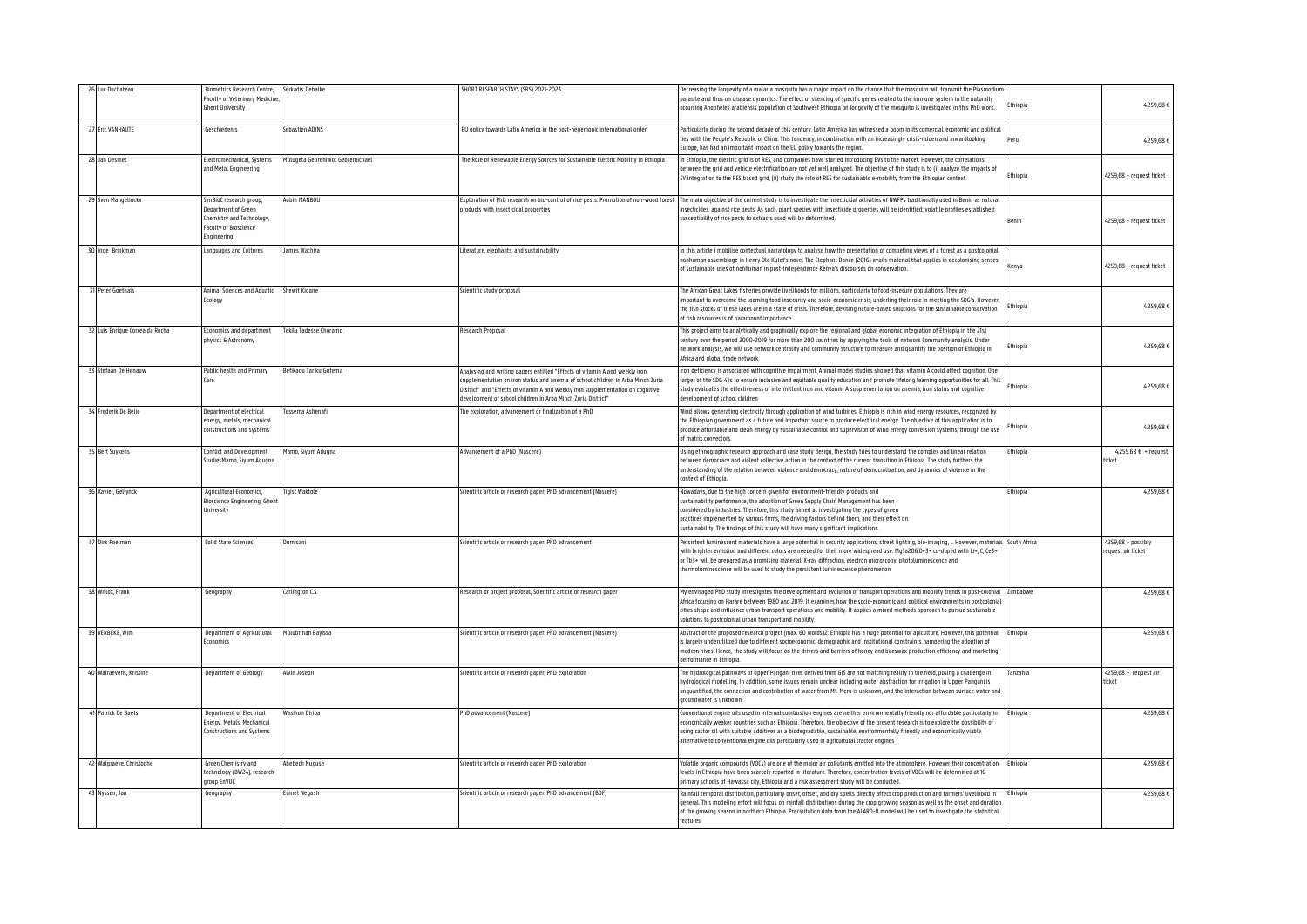| Luc Duchateau                | Biometrics Research Centre,                                                                                                | Serkadis Debalke                 | SHORT RESEARCH STAYS (SRS) 2021-2023                                                                                                                                                                                                                                                                                | Decreasing the longevity of a malaria mosquito has a major impact on the chance that the mosquito will transmit the Plasmodiu                                                                                                                                                                                                                                                                                                                                                                    |                 |                                           |
|------------------------------|----------------------------------------------------------------------------------------------------------------------------|----------------------------------|---------------------------------------------------------------------------------------------------------------------------------------------------------------------------------------------------------------------------------------------------------------------------------------------------------------------|--------------------------------------------------------------------------------------------------------------------------------------------------------------------------------------------------------------------------------------------------------------------------------------------------------------------------------------------------------------------------------------------------------------------------------------------------------------------------------------------------|-----------------|-------------------------------------------|
|                              | <b>Faculty of Veterinary Medicine</b>                                                                                      |                                  |                                                                                                                                                                                                                                                                                                                     | parasite and thus on disease dynamics. The effect of silencing of specific genes related to the immune system in the naturally                                                                                                                                                                                                                                                                                                                                                                   | thiopia         | 4.259,68€                                 |
|                              | <b>Ghent University</b>                                                                                                    |                                  |                                                                                                                                                                                                                                                                                                                     | occurring Anopheles arabiensis population of Southwest Ethiopia on longevity of the mosquito is investigated in this PhD work.                                                                                                                                                                                                                                                                                                                                                                   |                 |                                           |
| Eric VANHAUTE                | Geschiedenis                                                                                                               | Sebastien ADINS                  | EU policy towards Latin America in the post-hegemonic international order                                                                                                                                                                                                                                           | Particularly during the second decade of this century, Latin America has witnessed a boom in its comercial, economic and political<br>ties with the People's Republic of China. This tendency, in combination with an increasingly crisis-ridden and inwardlooking<br>urope, has had an important impact on the EU policy towards the region.                                                                                                                                                    | Peru            | 4.259,68 €                                |
| 28 Jan Desmet                | Electromechanical, Systems<br>and Metal Engineering                                                                        | Mulugeta Gebrehiwot Gebremichael | The Role of Renewable Energy Sources for Sustainable Electric Mobility in Ethiopia                                                                                                                                                                                                                                  | In Ethiopia, the electric grid is of RES, and companies have started introducing EVs to the market. However, the correlations<br>between the grid and vehicle electrification are not yet well analyzed. The objective of this study is to (i) analyze the impacts of<br>EV integration to the RES based grid, (ii) study the role of RES for sustainable e-mobility from the Ethiopian context.                                                                                                 | thiopia         | 4259,68 + request ticket                  |
| 29 Sven Mangelinckx          | SynBioC research group,<br>Department of Green<br>Chemistry and Technology,<br><b>Faculty of Bioscience</b><br>Engineering | Aubin MANBOU                     | products with insecticidal properties                                                                                                                                                                                                                                                                               | Exploration of PhD research on bio-control of rice pests: Promotion of non-wood forest The main objective of the current study is to investigate the insecticidal activities of NWFPs traditionally used in Benin as natural<br>insecticides, against rice pests. As such, plant species with insecticide properties will be identified: volatile profiles established:<br>susceptibility of rice pests to extracts used will be determined.                                                     | Renin           | 4259,68 + request ticket                  |
| Inge Brinkman                | anguages and Cultures                                                                                                      | James Wachira                    | Literature, elephants, and sustainability                                                                                                                                                                                                                                                                           | In this article I mobilise contextual narratology to analyse how the presentation of competing views of a forest as a postcolonial<br>nonhuman assemblage in Henry Ole Kulet's novel The Elephant Dance (2016) avails material that applies in decolonising senses<br>of sustainable uses of nonhuman in post-independence Kenya's discourses on conservation.                                                                                                                                   | Kenva           | 4259 68 + request ticket                  |
| <b>Peter Goethals</b>        | Animal Sciences and Anuatic<br>Ecology                                                                                     | <b>Shewit Kidane</b>             | Scientific study proposal                                                                                                                                                                                                                                                                                           | The African Great Lakes fisheries provide livelihoods for millions, particularly to food-insecure populations. They are<br>important to overcome the looming food insecurity and socio-economic crisis, underling their role in meeting the SDG's. However,<br>the fish stocks of these lakes are in a state of crisis. Therefore, devising nature-based solutions for the sustainable conservation<br>of fish resources is of naramount importance                                              | Ethiopia        | 4.259,68€                                 |
| Luis Enrique Correa da Rocha | Economics and department<br>physics & Astronomy                                                                            | <b>Tekilu Tadesse Choramo</b>    | Research Proposal                                                                                                                                                                                                                                                                                                   | This project aims to analytically and graphically explore the regional and global economic integration of Ethiopia in the 21st<br>century over the period 2000-2019 for more than 200 countries by applying the tools of network Community analysis. Under<br>network analysis, we will use network centrality and community structure to measure and quantify the position of Ethiopia in<br>Africa and global trade network.                                                                   | thiopia         | 4.259,68€                                 |
| 33 Stefaan De Henauw         | Public health and Primary<br>Care                                                                                          | Befikadu Tariku Gutema           | Analysing and writing papers entitled "Effects of vitamin A and weekly iron<br>supplementation on iron status and anemia of school children in Arba Minch Zuria<br>District" and "Effects of vitamin A and weekly iron supplementation on cognitive<br>development of school children in Arba Minch Zuria District" | Iron deficiency is associated with cognitive impairment. Animal model studies showed that vitamin A could affect cognition. One<br>target of the SDG 4 is to ensure inclusive and equitable quality education and promote lifelong learning poportunities for all. This<br>study evaluates the effectiveness of intermittent iron and vitamin A supplementation on anemia, iron status and cognitive<br>development of school children                                                           | thiopia         | 4,259,68€                                 |
| 34 Frederik De Belie         | Department of electrical<br>energy, metals, mechanical<br>constructions and systems                                        | Tessema Ashenafi                 | The exploration, advancement or finalization of a PhD                                                                                                                                                                                                                                                               | Wind allows generating electricity through application of wind turbines. Ethiopia is rich in wind energy resources, recognized by<br>the Ethiopian government as a future and important source to produce electrical energy. The objective of this application is to<br>produce affordable and clean energy by sustainable control and supervision of wind energy conversion systems, through the use<br>of matrix convectors.                                                                   | thiopia         | 4,259,68€                                 |
| 35 Bert Suykens              | <b>Conflict and Development</b><br>StudiesMamo, Siyum Adugna                                                               | Tamo, Siyum Aduqna               | Advancement of a PhD (Nascere)                                                                                                                                                                                                                                                                                      | Using ethnographic research approach and case study design, the study tries to understand the complex and linear relation<br>between democracy and violent collective action in the context of the current transition in Ethiopia. The study furthers the<br>understanding of the relation between violence and democracy, nature of democratization, and dynamics of violence in the<br>context of Ethionia                                                                                     | thiopia         | 4,259.68 € + request<br>ticket            |
| 36 Xavier, Gellynck          | Agricultural Economics,<br>Bioscience Engineering, Ghen<br>Jniversity                                                      | Tigist Waktole                   | Scientific article or research paper, PhD advancement (Nascere)                                                                                                                                                                                                                                                     | Nowadays, due to the high concern given for environment-friendly products and<br>sustainability performance, the adoption of Green Supply Chain Management has been<br>considered by industries. Therefore, this study aimed at investigating the types of green<br>practices implemented by various firms, the driving factors behind them, and their effect on<br>sustainability. The findings of this study will have many significant implications.                                          | Ethiopia        | 4.259,68 €                                |
| 37 Dirk Poelman              | Solid State Sciences                                                                                                       | <b>Jumisani</b>                  | Scientific article or research naner. PhD advancement                                                                                                                                                                                                                                                               | Persistent luminescent materials have a large potential in security applications, street lighting, bio-imaging,  However, materials<br>with brighter emission and different colors are needed for their more widespread use. MgTa2O6:Dy3+ co-doped with Li+, C, Ce3+<br>or Tb3+ will be prepared as a promising material. X-ray diffraction, electron microscopy, photoluminescence and<br>thermoluminescence will be used to study the persistent luminescence phenomenon.                      | South Africa    | $4259.68 +$ possibly<br>equest air ticket |
| 38 Witlox, Frank             | Geography                                                                                                                  | arlington C.S.                   | Research or project proposal, Scientific article or research paper                                                                                                                                                                                                                                                  | My envisaged PhD study investigates the development and evolution of transport operations and mobility trends in post-colonial<br>Africa focusing on Harare between 1980 and 2019. It examines how the socio-economic and political environments in postcolonial<br>cities shape and influence urban transport operations and mobility. It applies a mixed methods approach to pursue sustainable<br>solutions to postcolonial urban transport and mobility                                      | <b>Zimbabwe</b> | 4259,68€                                  |
| 39 VERBEKE, Wim              | Department of Agricultural<br>Economics                                                                                    | Mulubrihan Bayissa               | Scientific article or research paper, PhD advancement (Nascere)                                                                                                                                                                                                                                                     | Abstract of the proposed research project (max. 60 words)2: Ethiopia has a huge potential for apiculture. However, this potential<br>is largely underutilized due to different socioeconomic, demographic and institutional constraints hampering the adoption of<br>modern hives. Hence, the study will focus on the drivers and barriers of honey and beeswax production efficiency and marketing<br>performance in Ethiopia                                                                   | Ethiopia        | 4.259,68€                                 |
| 40 Walraevens, Kristine      | Department of Geology                                                                                                      | Alvin Joseph                     | Scientific article or research paper, PhD exploration                                                                                                                                                                                                                                                               | The hydrological pathways of upper Pangani river derived from GIS are not matching reality in the field, posing a challenge in<br>hydrological modelling. In addition, some issues remain unclear including water abstraction for irrigation in Upper Pangani is<br>unquantified, the connection and contribution of water from Mt. Meru is unknown, and the interaction between surface water and<br>roundwater is unknown.                                                                     | Tanzania        | 4259,68 + request air<br>ticket           |
| 41 Patrick De Baets          | Department of Electrical<br>Energy, Metals, Mechanical<br>Constructions and Systems                                        | Vasihun Diriba                   | PhD advancement (Nascere)                                                                                                                                                                                                                                                                                           | Conventional engine oils used in internal combustion engines are neither environmentally friendly nor affordable particularly in<br>economically weaker countries such as Ethiopia. Therefore, the objective of the present research is to explore the possibility of<br>using castor oil with suitable additives as a biodegradable, sustainable, environmentally friendly and economically viable<br>alternative to conventional engine oils particularly used in agricultural tractor engines | Ethiopia        | 4.259,68€                                 |
| Walgraeve, Christophe        | Green Chemistry and<br>technology (BW24), research<br>group EnVOC                                                          | Abebech Nuguse                   | Scientific article or research paper, PhD exploration                                                                                                                                                                                                                                                               | Volatile organic compounds (VOCs) are one of the maior air pollutants emitted into the atmosphere. However their concentration<br>levels in Ethiopia have been scarcely reported in literature. Therefore, concentration levels of VOCs will be determined at 10<br>primary schools of Hawassa city, Ethiopia and a risk assessment study will be conducted.                                                                                                                                     | Ethiopia        | 4.259,68€                                 |
| Nyssen, Jan                  | Geography                                                                                                                  | <b>Emnet Negash</b>              | Scientific article or research paper, PhD advancement (BOF)                                                                                                                                                                                                                                                         | Rainfall temporal distribution, particularly onset, offset, and dry spells directly affect crop production and farmers' livelihood in<br>general. This modeling effort will focus on rainfall distributions during the crop growing season as well as the onset and duration<br>of the growing season in northern Ethiopia. Precipitation data from the ALARO-O model will be used to investigate the statistical<br>features.                                                                   | thiopia         | 4,259,68€                                 |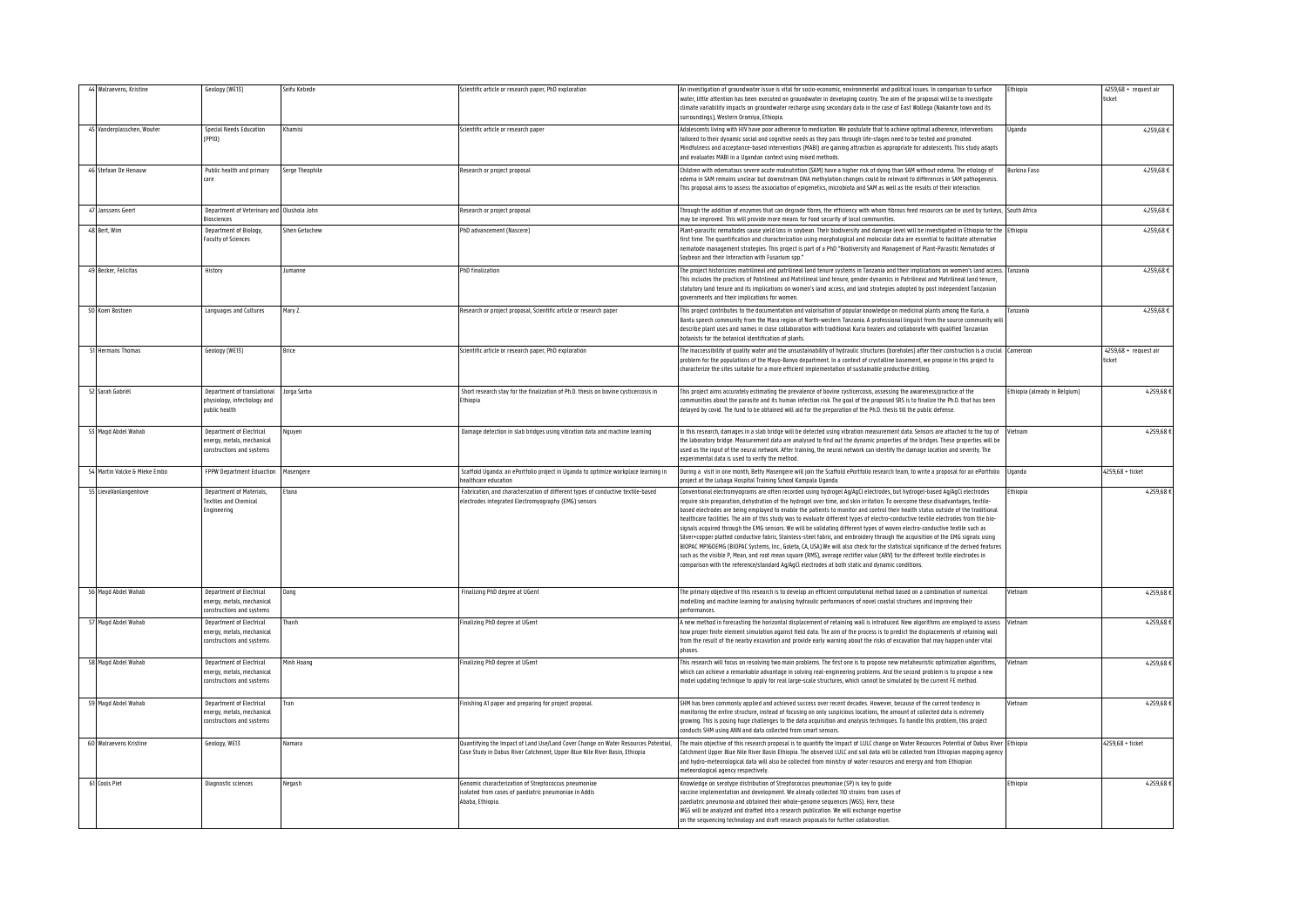| 44 Walraevens, Kristine       | Geology (WE13)                                                                      | Seifu Kebede    | cientific article or research paper, PhD exploration                                                                                                             | An investigation of groundwater issue is vital for socio-economic, environmental and political issues. In comparison to surface<br>water, little attention has been executed on groundwater in developing country. The aim of the proposal will be to investigate<br>climate variability impacts on groundwater recharge using secondary data in the case of East Wollega (Nakamte town and its<br>surroundings) Western Oromiya Ethionia                                                                                                                                                                                                                                                                                                                                                                                                                                                                                                                                                                                                                                                                                                                                            | thiopia                      | 4259,68 + request air<br>ticket |
|-------------------------------|-------------------------------------------------------------------------------------|-----------------|------------------------------------------------------------------------------------------------------------------------------------------------------------------|--------------------------------------------------------------------------------------------------------------------------------------------------------------------------------------------------------------------------------------------------------------------------------------------------------------------------------------------------------------------------------------------------------------------------------------------------------------------------------------------------------------------------------------------------------------------------------------------------------------------------------------------------------------------------------------------------------------------------------------------------------------------------------------------------------------------------------------------------------------------------------------------------------------------------------------------------------------------------------------------------------------------------------------------------------------------------------------------------------------------------------------------------------------------------------------|------------------------------|---------------------------------|
| 45 Vanderplasschen, Wouter    | <b>Special Needs Education</b><br>(PPIO)                                            | Khamisi         | Scientific article or research paper                                                                                                                             | Adolescents living with HIV have poor adherence to medication. We postulate that to achieve optimal adherence, interventions<br>tailored to their dynamic social and cognitive needs as they pass through life-stages need to be tested and promoted.<br>Mindfulness and acceptance-based interventions (MABI) are gaining attraction as appropriate for adolescents. This study adapts<br>and evaluates MABI in a Ugandan context using mixed methods.                                                                                                                                                                                                                                                                                                                                                                                                                                                                                                                                                                                                                                                                                                                              | Uganda                       | 4.259,68€                       |
| 46 Stefaan De Henauw          | Public health and primary<br>care                                                   | Serge Theophile | Research or project proposal                                                                                                                                     | Children with edematous severe acute malnutrition (SAM) have a higher risk of dying than SAM without edema. The etiology of<br>edema in SAM remains unclear but downstream DNA methylation changes could be relevant to differences in SAM pathogenesis.<br>This proposal aims to assess the association of epigenetics, microbiota and SAM as well as the results of their interaction.                                                                                                                                                                                                                                                                                                                                                                                                                                                                                                                                                                                                                                                                                                                                                                                             | Burkina Faso                 | 4259.68€                        |
| Janssens Geert                | Department of Veterinary and Olushola John<br><b>Biosciences</b>                    |                 | Research or project proposal                                                                                                                                     | Through the addition of enzymes that can degrade fibres, the efficiency with whom fibrous feed resources can be used by turkeys,<br>may be improved. This will provide more means for food security of local communities                                                                                                                                                                                                                                                                                                                                                                                                                                                                                                                                                                                                                                                                                                                                                                                                                                                                                                                                                             | outh Africa                  | 4.259,68 €                      |
| 48 Bert, Wim                  | Department of Biology,<br><b>Faculty of Sciences</b>                                | Sihen Getachew  | PhD advancement (Nascere)                                                                                                                                        | Plant-parasitic nematodes cause yield loss in soybean. Their biodiversity and damage level will be investigated in Ethiopia for the<br>first time. The quantification and characterization using morphological and molecular data are essential to facilitate alternative<br>nematode management strategies. This project is part of a PhD "Biodiversity and Management of Plant-Parasitic Nematodes of<br>Sovhean and their Interaction with Fusarium son'                                                                                                                                                                                                                                                                                                                                                                                                                                                                                                                                                                                                                                                                                                                          | thiopia                      | 4,259,68 €                      |
| 49 Becker Felicitas           | History                                                                             | lumanne         | <b>PhD</b> finalization                                                                                                                                          | The project historicizes matrilineal and patrilineal land tenure systems in Tanzania and their implications on women's land access.<br>This includes the practices of Patrilineal and Matrilineal land tenure, gender dynamics in Patrilineal and Matrilineal land tenure,<br>statutory land tenure and its implications on women's land access, and land strategies adopted by post independent Tanzanian<br>governments and their implications for women                                                                                                                                                                                                                                                                                                                                                                                                                                                                                                                                                                                                                                                                                                                           | Tanzania                     | 4259,68€                        |
| 50 Koen Bostoen               | Languages and Cultures                                                              | Mary Z.         | Research or project proposal, Scientific article or research paper                                                                                               | This project contributes to the documentation and valorisation of popular knowledge on medicinal plants among the Kuria, a<br>Bantu speech community from the Mara region of North-western Tanzania. A professional linguist from the source community wil<br>describe plant uses and names in close collaboration with traditional Kuria healers and collaborate with qualified Tanzanian<br>botanists for the botanical identification of plants.                                                                                                                                                                                                                                                                                                                                                                                                                                                                                                                                                                                                                                                                                                                                  | Tanzania                     | 4.259,68 €                      |
| 51 Hermans Thomas             | Geology (WE13)                                                                      | Brice           | Scientific article or research paper, PhD exploration                                                                                                            | The inaccessibility of quality water and the unsustainability of hydraulic structures (boreholes) after their construction is a crucial Cameroon<br>problem for the populations of the Mayo-Banyo department. In a context of crystalline basement, we propose in this project to<br>characterize the sites suitable for a more efficient implementation of sustainable productive drilling.                                                                                                                                                                                                                                                                                                                                                                                                                                                                                                                                                                                                                                                                                                                                                                                         |                              | 4259,68 + request air<br>ticket |
| 52 Sarah Gabriël              | Department of translational<br>physiology, infectiology and<br>nublic health        | orga Sarba      | Short research stay for the finalization of Ph.D. thesis on bovine cysticercosis in<br>Ethiopia                                                                  | This project aims accurately estimating the prevalence of bovine cysticercosis, assessing the awareness/practice of the<br>ommunities about the parasite and its human infection risk. The goal of the proposed SRS is to finalize the Ph.D. that has been<br>delayed by covid. The fund to be obtained will aid for the preparation of the Ph.D. thesis till the public defense.                                                                                                                                                                                                                                                                                                                                                                                                                                                                                                                                                                                                                                                                                                                                                                                                    | thiopia (already in Belgium) | 4.259,68                        |
| Magd Abdel Wahab              | Department of Electrical<br>energy, metals, mechanical<br>constructions and systems | Vguyen          | Damage detection in slab bridges using vibration data and machine learning                                                                                       | In this research, damages in a slab bridge will be detected using vibration measurement data. Sensors are attached to the top of<br>he laboratory bridge. Measurement data are analysed to find out the dynamic properties of the bridges. These properties will be<br>used as the input of the neural network. After training, the neural network can identify the damage location and severity. The<br>experimental data is used to verify the method.                                                                                                                                                                                                                                                                                                                                                                                                                                                                                                                                                                                                                                                                                                                             | <i>l</i> ietnam              | 4.259,68                        |
| 54 Martin Valcke & Mieke Embo | <b>FPPW Department Eduaction</b>                                                    | Masengere       | Scaffold Uganda: an ePortfolio project in Uganda to optimize workplace learning in<br>ealthcare education                                                        | During a visit in one month, Betty Masengere will join the Scaffold ePortfolio research team, to write a proposal for an ePortfolio<br>project at the Lubaga Hospital Training School Kampala Uganda.                                                                                                                                                                                                                                                                                                                                                                                                                                                                                                                                                                                                                                                                                                                                                                                                                                                                                                                                                                                | Uganda                       | $4259.68 +$ ticket              |
| LievaVanlangenhove            | <b>Denartment of Materials</b><br>Textiles and Chemical<br><b>Ingineering</b>       | :tana           | Fabrication, and characterization of different types of conductive textile-based<br>lectrodes integrated Electromyography (EMG) sensors                          | Conventional electromyograms are often recorded using hydrogel Ag/AgCl electrodes, but hydrogel-based Ag/AgCl electrodes<br>equire skin preparation, dehydration of the hydrogel over time, and skin irritation. To overcome these disadvantages, textile-<br>based electrodes are being employed to enable the patients to monitor and control their health status outside of the traditional<br>healthcare facilities. The aim of this study was to evaluate different types of electro-conductive textile electrodes from the bio-<br>signals acquired through the EMG sensors. We will be validating different types of woven electro-conductive textile such as<br>Silver+copper platted conductive fabric, Stainless-steel fabric, and embroidery through the acquisition of the EMG signals using<br>BIOPAC MP160EMG (BIOPAC Systems, Inc., Goleta, CA, USA).We will also check for the statistical significance of the derived features<br>such as the visible P. Mean, and root mean souare (RMS), average rectifier value (ARV) for the different textile electrodes in<br>comparison with the reference/standard Ag/AgCl electrodes at both static and dynamic conditions | thiopia                      | 4.259,68€                       |
| lagd Abdel Wahab              | Department of Electrical<br>energy, metals, mechanical<br>constructions and systems | ang             | inalizing PhD degree at UGent                                                                                                                                    | The primary objective of this research is to develop an efficient computational method based on a combination of numerical<br>modelling and machine learning for analysing hydraulic performances of novel coastal structures and improving their<br>nerformances                                                                                                                                                                                                                                                                                                                                                                                                                                                                                                                                                                                                                                                                                                                                                                                                                                                                                                                    | <i>lietnam</i>               | 4.259,68                        |
| Magd Abdel Wahab              | Denartment of Electrical<br>energy, metals, mechanical<br>constructions and systems | hanh            | inalizing PhD degree at UGent                                                                                                                                    | A new method in forecasting the horizontal displacement of retaining wall is introduced. New algorithms are employed to assess<br>how proper finite element simulation against field data. The aim of the process is to predict the displacements of retaining wall<br>from the result of the nearby excavation and provide early warning about the risks of excavation that may happen under vital<br>phases                                                                                                                                                                                                                                                                                                                                                                                                                                                                                                                                                                                                                                                                                                                                                                        | /ietnam                      | 4,259.68                        |
| Magd Abdel Wahab              | Denartment of Electrical<br>energy, metals, mechanical<br>constructions and systems | Minh Hoang      | inalizing PhD degree at UGent                                                                                                                                    | This research will focus on resolving two main problems. The first one is to propose new metaheuristic optimization algorithms,<br>which can achieve a remarkable advantage in solving real-engineering problems. And the second problem is to propose a new<br>model updating technique to apply for real large-scale structures, which cannot be simulated by the current FE method.                                                                                                                                                                                                                                                                                                                                                                                                                                                                                                                                                                                                                                                                                                                                                                                               | Vietnam                      | 4.259,68                        |
| Magd Abdel Wahab              | Denartment of Electrical<br>energy, metals, mechanical<br>constructions and systems | Tran            | Finishing A1 paper and preparing for project proposal.                                                                                                           | SHM has been commonly applied and achieved success over recent decades. However, because of the current tendency in<br>monitoring the entire structure, instead of focusing on only suspicious locations, the amount of collected data is extremely<br>growing. This is posing huge challenges to the data acquisition and analysis techniques. To handle this problem, this project<br>conducts SHM using ANN and data collected from smart sensors.                                                                                                                                                                                                                                                                                                                                                                                                                                                                                                                                                                                                                                                                                                                                | Vietnam                      | 4.259,68€                       |
| 60 Walraevens Kristine        | Geology, WE13                                                                       | Namara          | Quantifying the Impact of Land Use/Land Cover Change on Water Resources Potential,<br>Case Study in Dabus River Catchment, Upper Blue Nile River Basin, Ethiopia | The main objective of this research proposal is to quantify the Impact of LULC change on Water Resources Potential of Dabus River Ethiopia<br>Catchment Upper Blue Nile River Basin Ethiopia. The observed LULC and soil data will be collected from Ethiopian mapping agenc<br>and hydro-meteorological data will also be collected from ministry of water resources and energy and from Ethiopian<br>meteorological agency respectively.                                                                                                                                                                                                                                                                                                                                                                                                                                                                                                                                                                                                                                                                                                                                           |                              | 4259,68 + ticket                |
| 61 Cools Piet                 | Diagnostic sciences                                                                 | Negash          | Genomic characterization of Streptococcus pneumoniae<br>solated from cases of paediatric pneumoniae in Addis<br>Ababa, Ethiopia.                                 | Knowledge on serotype distribution of Streptococcus pneumoniae (SP) is key to quide<br>vaccine implementation and development. We already collected 110 strains from cases of<br>paediatric pneumonia and obtained their whole-genome sequences (WGS). Here, these<br>WGS will be analyzed and drafted into a research publication. We will exchange expertise<br>on the sequencing technology and draft research proposals for further collaboration.                                                                                                                                                                                                                                                                                                                                                                                                                                                                                                                                                                                                                                                                                                                               | thiopia                      | 4.259,68                        |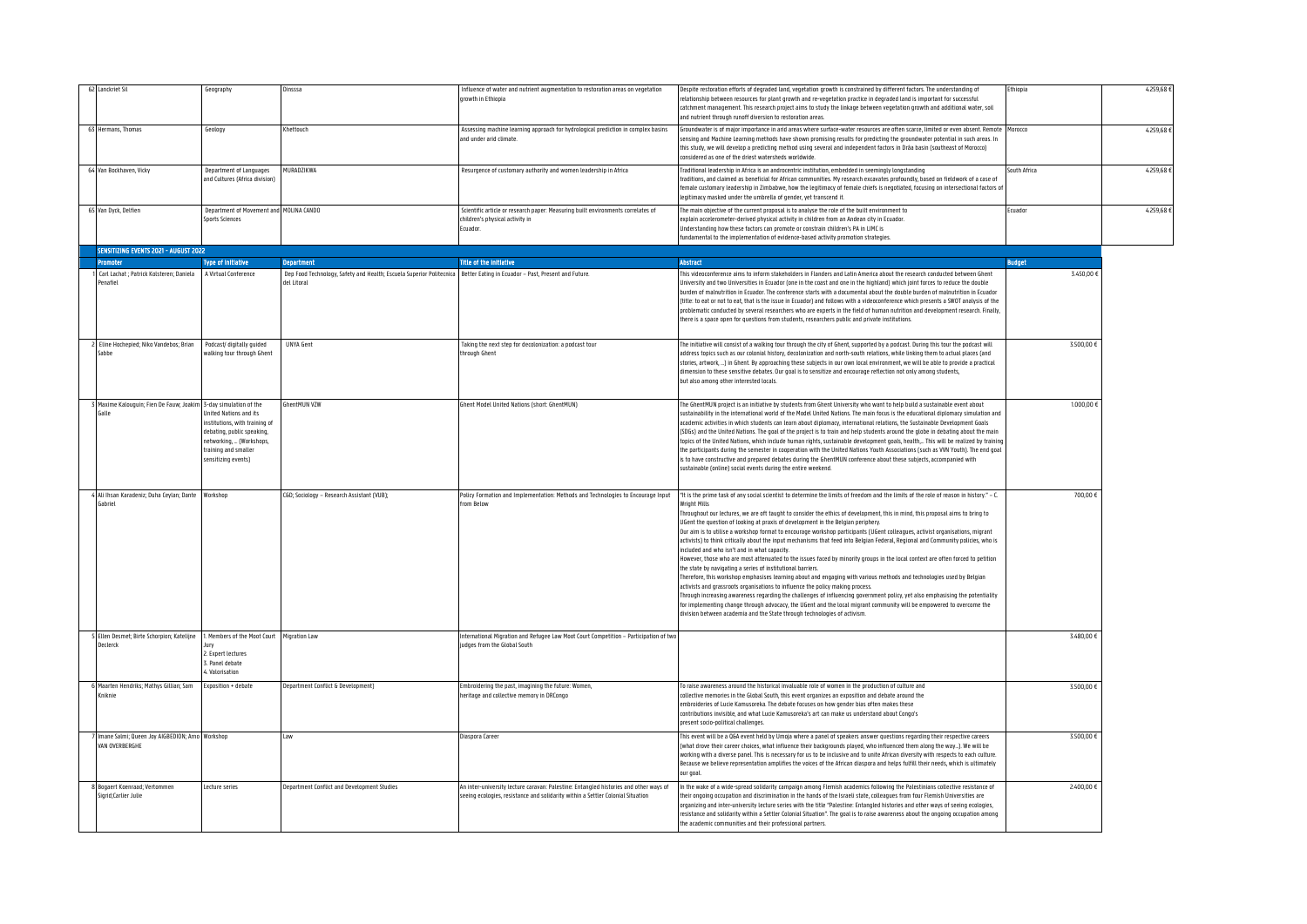| Lanckriet Sil                                                    | Geography                                                                                                                                                                                       | Jinsssa                                                                                                                                  | Influence of water and nutrient augmentation to restoration areas on vegetation<br>growth in Ethiopia                                                                    | Despite restoration efforts of degraded land, vegetation growth is constrained by different factors. The understanding of<br>relationship between resources for plant growth and re-vegetation practice in degraded land is important for successful<br>catchment management. This research project aims to study the linkage between vegetation growth and additional water, soil<br>and nutrient through runoff diversion to restoration areas                                                                                                                                                                                                                                                                                                                                                                                                                                                                                                                                                                                                                                                                                                                                                                                                                                                                                                                                                                                                                                                                                                | Ethiopia      | 4.259,68 € |
|------------------------------------------------------------------|-------------------------------------------------------------------------------------------------------------------------------------------------------------------------------------------------|------------------------------------------------------------------------------------------------------------------------------------------|--------------------------------------------------------------------------------------------------------------------------------------------------------------------------|-------------------------------------------------------------------------------------------------------------------------------------------------------------------------------------------------------------------------------------------------------------------------------------------------------------------------------------------------------------------------------------------------------------------------------------------------------------------------------------------------------------------------------------------------------------------------------------------------------------------------------------------------------------------------------------------------------------------------------------------------------------------------------------------------------------------------------------------------------------------------------------------------------------------------------------------------------------------------------------------------------------------------------------------------------------------------------------------------------------------------------------------------------------------------------------------------------------------------------------------------------------------------------------------------------------------------------------------------------------------------------------------------------------------------------------------------------------------------------------------------------------------------------------------------|---------------|------------|
| 63 Hermans, Thomas                                               | Geology                                                                                                                                                                                         | Khettouch                                                                                                                                | Assessing machine learning approach for hydrological prediction in complex basins<br>and under arid climate.                                                             | Groundwater is of major importance in arid areas where surface-water resources are often scarce, limited or even absent. Remote Morocco<br>sensing and Machine Learning methods have shown promising results for predicting the groundwater potential in such areas. In<br>this study, we will develop a predicting method using several and independent factors in Drãa basin (southeast of Morocco)<br>considered as one of the driest watersheds worldwide                                                                                                                                                                                                                                                                                                                                                                                                                                                                                                                                                                                                                                                                                                                                                                                                                                                                                                                                                                                                                                                                                   |               | 4.259.68€  |
| 64 Van Bockhaven, Vicky                                          | Denartment of Languages<br>and Cultures (Africa division)                                                                                                                                       | MURADZIKWA                                                                                                                               | Resurgence of customary authority and women leadership in Africa                                                                                                         | Traditional leadership in Africa is an androcentric institution, embedded in seemingly longstanding<br>traditions, and claimed as beneficial for African communities. My research excavates profoundly, based on fieldwork of a case of<br>female customary leadership in Zimbabwe, how the legitimacy of female chiefs is negotiated, focusing on intersectional factors of<br>legitimacy masked under the umbrella of gender, yet transcend it.                                                                                                                                                                                                                                                                                                                                                                                                                                                                                                                                                                                                                                                                                                                                                                                                                                                                                                                                                                                                                                                                                               | South Africa  | 4.259.68€  |
| 65 Van Dyck, Delfien                                             | Department of Movement and MOLINA CANDO<br>anneist Sciences                                                                                                                                     |                                                                                                                                          | Scientific article or research paper: Measuring built environments correlates of<br>children's nhysical activity in<br>Ecuador.                                          | The main objective of the current proposal is to analyse the role of the built environment to<br>explain accelerometer-derived physical activity in children from an Andean city in Ecuador<br>Understanding how these factors can promote or constrain children's PA in LIMC is<br>fundamental to the implementation of evidence-based activity promotion strategies                                                                                                                                                                                                                                                                                                                                                                                                                                                                                                                                                                                                                                                                                                                                                                                                                                                                                                                                                                                                                                                                                                                                                                           | Ecuador       | 4259.68 €  |
| SENSITIZING EVENTS 2021 - AUGUST 2022                            |                                                                                                                                                                                                 |                                                                                                                                          |                                                                                                                                                                          |                                                                                                                                                                                                                                                                                                                                                                                                                                                                                                                                                                                                                                                                                                                                                                                                                                                                                                                                                                                                                                                                                                                                                                                                                                                                                                                                                                                                                                                                                                                                                 |               |            |
| Promoter                                                         | <b>Type of Initiative</b>                                                                                                                                                                       | <b>Department</b>                                                                                                                        | <b>Title of the initiative</b>                                                                                                                                           | <b>Abstract</b>                                                                                                                                                                                                                                                                                                                                                                                                                                                                                                                                                                                                                                                                                                                                                                                                                                                                                                                                                                                                                                                                                                                                                                                                                                                                                                                                                                                                                                                                                                                                 | <b>Budget</b> |            |
| Carl Lachat ; Patrick Kolsteren; Daniela<br>enafiel              | A Virtual Conference                                                                                                                                                                            | Dep Food Technology, Safety and Health; Escuela Superior Politecnica Better Eating in Ecuador - Past, Present and Future.<br>del Litoral |                                                                                                                                                                          | This videoconference aims to inform stakeholders in Flanders and Latin America about the research conducted between Ghent<br>University and two Universities in Ecuador (one in the coast and one in the highland) which joint forces to reduce the double<br>burden of malnutrition in Ecuador. The conference starts with a documental about the double burden of malnutrition in Ecuador<br>(title: to eat or not to eat, that is the issue in Ecuador) and follows with a videoconference which presents a SWOT analysis of the<br>problematic conducted by several researchers who are experts in the field of human nutrition and development research. Finally,<br>there is a space open for questions from students, researchers public and private institutions.                                                                                                                                                                                                                                                                                                                                                                                                                                                                                                                                                                                                                                                                                                                                                                       | 3.450,00 €    |            |
| Eline Hochepied: Niko Vandebos: Brian<br>Sabbe                   | Podcast/ digitally quided<br>walking tour through Ghent                                                                                                                                         | <b>UNYA Gent</b>                                                                                                                         | Taking the next step for decolonization: a podcast tour<br>through Ghent                                                                                                 | The initiative will consist of a walking tour through the city of Ghent, supported by a podcast. During this tour the podcast will<br>address topics such as our colonial history, decolonization and north-south relations, while linking them to actual places (and<br>stories, artwork, ) in Ghent. By approaching these subjects in our own local environment, we will be able to provide a practical<br>dimension to these sensitive debates. Our goal is to sensitize and encourage reflection not only among students,<br>but also among other interested locals.                                                                                                                                                                                                                                                                                                                                                                                                                                                                                                                                                                                                                                                                                                                                                                                                                                                                                                                                                                        | 3.500.00 €    |            |
| Maxime Kalouguin; Fien De Fauw; Joakim<br>Galle                  | 3-day simulation of the<br><b>Jnited Nations and its</b><br>nstitutions, with training of<br>debating, public speaking,<br>etworking,  (Workshops,<br>raining and smaller<br>ensitizing events) | GhentMUN VZW                                                                                                                             | Ghent Model United Nations (short: GhentMUN)                                                                                                                             | The GhentMUN project is an initiative by students from Ghent University who want to help build a sustainable event about<br>sustainability in the international world of the Model United Nations. The main focus is the educational diplomacy simulation and<br>academic activities in which students can learn about diplomacy, international relations, the Sustainable Development Goals<br>(SDGs) and the United Nations. The goal of the project is to train and help students around the globe in debating about the main<br>topics of the United Nations, which include human rights, sustainable development goals, health, This will be realized by training<br>the participants during the semester in cooperation with the United Nations Youth Associations (such as WN Youth). The end goal<br>is to have constructive and prepared debates during the GhentMUN conference about these subjects, accompanied with<br>sustainable (online) social events during the entire weekend.                                                                                                                                                                                                                                                                                                                                                                                                                                                                                                                                                | 1.000,000     |            |
| Ali Ihsan Karadeniz; Duha Ceylan; Dante<br><b>Sabriel</b>        | Workshon                                                                                                                                                                                        | C&D Sociology - Research Assistant (VUB);                                                                                                | from Below                                                                                                                                                               | Policy Formation and Implementation: Methods and Technologies to Encourage Input  *It is the prime task of any social scientist to determine the limits of freedom and the limits of the role of reason in history." - C.<br><b>Wright Mills</b><br>Throughout our lectures, we are oft taught to consider the ethics of development, this in mind, this proposal aims to bring to<br>UGent the question of looking at praxis of development in the Belgian periphery.<br>Our aim is to utilise a workshop format to encourage workshop participants (UGent colleagues, activist organisations, migrant<br>activists) to think critically about the input mechanisms that feed into Belgian Federal, Regional and Community policies, who is<br>included and who isn't and in what capacity<br>However, those who are most attenuated to the issues faced by minority groups in the local context are often forced to petition<br>the state by navigating a series of institutional barriers.<br>Therefore, this workshop emphasises learning about and engaging with various methods and technologies used by Belgian<br>activists and grassroots organisations to influence the policy making process.<br>Through increasing awareness regarding the challenges of influencing government policy, yet also emphasising the potentiality<br>for implementing change through advocacy, the UGent and the local migrant community will be empowered to overcome the<br>division between academia and the State through technologies of activism. | 700,00€       |            |
| Ellen Desmet; Birte Schorpion; Katelijne                         | I. Members of the Moot Court Migration Law                                                                                                                                                      |                                                                                                                                          | International Migration and Refugee Law Moot Court Competition - Participation of two                                                                                    |                                                                                                                                                                                                                                                                                                                                                                                                                                                                                                                                                                                                                                                                                                                                                                                                                                                                                                                                                                                                                                                                                                                                                                                                                                                                                                                                                                                                                                                                                                                                                 | 3,480,00 €    |            |
| erlerrk                                                          | . Expert lectures<br>. Panel debate<br>Valorisation                                                                                                                                             |                                                                                                                                          | udges from the Global South                                                                                                                                              |                                                                                                                                                                                                                                                                                                                                                                                                                                                                                                                                                                                                                                                                                                                                                                                                                                                                                                                                                                                                                                                                                                                                                                                                                                                                                                                                                                                                                                                                                                                                                 |               |            |
| Maarten Hendriks; Mathys Gillian; Sam<br><b>Cniknie</b>          | xnosition + debate                                                                                                                                                                              | Department Conflict & Development)                                                                                                       | mbroidering the past, imagining the future: Women,<br>heritage and collective memory in DRCongo                                                                          | To raise awareness around the historical invaluable role of women in the production of culture and<br>collective memories in the Global South, this event organizes an exposition and debate around the<br>embroideries of Lucie Kamusoreka. The debate focuses on how gender bias often makes these<br>contributions invisible, and what Lucie Kamusoreka's art can make us understand about Congo's<br>present socio-political challenges.                                                                                                                                                                                                                                                                                                                                                                                                                                                                                                                                                                                                                                                                                                                                                                                                                                                                                                                                                                                                                                                                                                    | 3500.00 €     |            |
| mane Salmi; Queen Joy AIGBEDION; Arno Workshop<br>VAN OVERRERGHE |                                                                                                                                                                                                 | Law                                                                                                                                      | Diaspora Career                                                                                                                                                          | This event will be a Q&A event held by Umoja where a panel of speakers answer questions regarding their respective careers<br>(what drove their career choices, what influence their backgrounds played, who influenced them along the way). We will be<br>working with a diverse panel. This is necessary for us to be inclusive and to unite African diversity with respects to each culture.<br>Because we believe representation amplifies the voices of the African diaspora and helps fulfill their needs, which is ultimately<br>our goal                                                                                                                                                                                                                                                                                                                                                                                                                                                                                                                                                                                                                                                                                                                                                                                                                                                                                                                                                                                                | 3.500,00 €    |            |
| Bogaert Koenraad; Vertommen<br>Sigrid:Carlier Julie              | ecture series                                                                                                                                                                                   | Department Conflict and Development Studies                                                                                              | An inter-university lecture caravan: Palestine: Entangled histories and other ways of<br>seeing ecologies, resistance and solidarity within a Settler Colonial Situation | In the wake of a wide-spread solidarity campaign among Flemish academics following the Palestinians collective resistance of<br>their ongoing occupation and discrimination in the hands of the Israeli state, colleagues from four Flemish Universities are<br>organizing and inter-university lecture series with the title "Palestine: Entangled histories and other ways of seeing ecologies,<br>resistance and solidarity within a Settler Colonial Situation". The goal is to raise awareness about the ongoing occupation among<br>the academic communities and their professional partners.                                                                                                                                                                                                                                                                                                                                                                                                                                                                                                                                                                                                                                                                                                                                                                                                                                                                                                                                             | 2.400,00 €    |            |